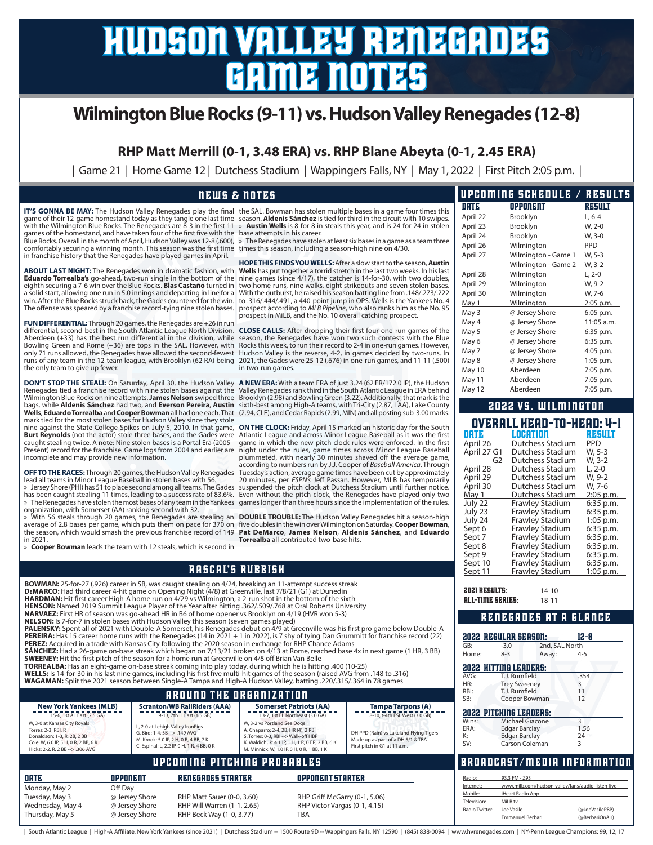# hudson valley renegades game notes

## **Wilmington Blue Rocks (9-11) vs. Hudson Valley Renegades (12-8)**

**RHP Matt Merrill (0-1, 3.48 ERA) vs. RHP Blane Abeyta (0-1, 2.45 ERA)**

| Game 21 | Home Game 12 | Dutchess Stadium | Wappingers Falls, NY | May 1, 2022 | First Pitch 2:05 p.m. |

### overall head-to-head: 4-1 date location result April 26 Dutchess Stadium PPD 2022 vs. WILMINGTON DATE OPPONENT RESULT April 22 Brooklyn L, 6-4 April 23 Brooklyn W, 2-0 April 24 Brooklyn W, 3-0 April 26 Wilmington PPD April 27 Wilmington - Game 1 W, 5-3 Wilmington - Game 2 W, 3-2 April 28 Wilmington L, 2-0 April 29 Wilmington W, 9-2 April 30 Wilmington W, 7-6 May 1 Wilmington 2:05 p.m. May 3 @ Jersey Shore 6:05 p.m. May 4 @ Jersey Shore 11:05 a.m. May 5 @ Jersey Shore 6:35 p.m. May 6 @ Jersey Shore 6:35 p.m. May 7 @ Jersey Shore 4:05 p.m. May 8 @ Jersey Shore 1:05 p.m. May 10 Aberdeen 7:05 p.m. May 11 Aberdeen 7:05 p.m. May 12 Aberdeen 7:05 p.m. upcoming schedule / results **IT'S GONNA BE MAY:** The Hudson Valley Renegades play the final the SAL. Bowman has stolen multiple bases in a game four times this game of their 12-game homestand today as they tangle one last time season. **Aldenis Sánchez** is tied for third in the circuit with 10 swipes. with the Wilmington Blue Rocks. The Renegades are 8-3 in the first 11 games of the homestand, and have taken four of the first five with the Blue Rocks. Overall in the month of April, Hudson Valley was 12-8 (.600), comfortably securing a winning month. This season was the first time times this season, including a season-high nine on 4/30.<br>in franchise history that the Renegades have played games in April. **ABOUT LAST NIGHT:** The Renegades won in dramatic fashion, with **Eduardo Torrealba's** go-ahead, two-run single in the bottom of the eighth securing a 7-6 win over the Blue Rocks. **Blas Castaño** turned in a solid start, allowing one run in 5.0 innings and departing in line for a win. After the Blue Rocks struck back, the Gades countered for the win. The offense was speared by a franchise record-tying nine stolen bases. **FUN DIFFERENTIAL:**Through 20 games, the Renegades are +26 in run differential, second-best in the South Atlantic League North Division. **CLOSE CALLS:** After dropping their first four one-run games of the Aberdeen (+33) has the best run differential in the division, while Bowling Green and Rome (+36) are tops in the SAL. However, with only 71 runs allowed, the Renegades have allowed the second-fewest runs of any team in the 12-team league, with Brooklyn (62 RA) being the only team to give up fewer. **DON'T STOP THE STEAL!:** On Saturday, April 30, the Hudson Valley Renegades tied a franchise record with nine stolen bases against the Wilmington Blue Rocks on nine attempts. **James Nelson** swiped three bags, while **Aldenis Sánchez** had two, and **Everson Pereira**, **Austin Wells, Eduardo Torrealba** and **Cooper Bowman** all had one each. That (2.94, CLE), and Cedar Rapids (2.99, MIN) and all posting sub-3.00 marks.<br>mark tied for the most stolen bases for Hudson Valley since they stole nine against the State College Spikes on July 5, 2010. In that game, **Burt Reynolds** (not the actor) stole three bases, and the Gades were Atlantic League and across Minor League Baseball as it was the first<br>caught stealing twice. A note: Nine stolen bases is a Portal Era (2005 - game in wh Present) record for the franchise. Game logs from 2004 and earlier are » **Austin Wells** is 8-for-8 in steals this year, and is 24-for-24 in stolen base attempts in his career. » The Renegades have stolen at least six bases in a game as a team three **HOPE THIS FINDS YOU WELLS:**After a slow start to the season, **Austin Wells** has put together a torrid stretch in the last two weeks. In his last nine games (since 4/17), the catcher is 14-for-30, with two doubles, two home runs, nine walks, eight strikeouts and seven stolen bases. With the outburst, he raised his season batting line from .148/*.273/.222*<br>to .316/.444/.491, a 440-point jump in OPS. Wells is the Yankees No. 4<br>prospect according to *MLB Pipeline,* who also ranks him as the No. 95 prospect in MiLB, and the No. 10 overall catching prospect. season, the Renegades have won two such contests with the Blue Rocks this week, to run their record to 2-4 in one-run games. However, Hudson Valley is the reverse, 4-2, in games decided by two-runs. In 2021, the Gades were 25-12 (.676) in one-run games, and 11-11 (.500) in two-run games. **A NEW ERA:** With a team ERA of just 3.24 (62 ER/172.0 IP), the Hudson Valley Renegades rank third in the South Atlantic League in ERA behind Brooklyn (2.98) and Bowling Green (3.22). Additionally, that mark is the sixth-best among High-A teams, with Tri-City (2.87, LAA), Lake County **ON THE CLOCK:** Friday, April 15 marked an historic day for the South night under the rules, game times across Minor League Baseball news & notes

plummeted, with nearly 30 minutes shaved off the average game, according to numbers run by J.J. Cooper of *Baseball America*. Through Tuesday's action, average game times have been cut by approximately

**DOUBLE TROUBLE:** The Hudson Valley Renegades hit a season-high

**Torrealba** all contributed two-base hits.

**OFF TO THE RACES:**Through 20 games, the Hudson Valley Renegades lead all teams in Minor League Baseball in stolen bases with 56. 20 minutes, per *ESPN's J*eff Passan. However, MLB has temporarily<br>» Jersey Shore (PHI) has 51 to place second among all teams.The Gades suspended

incomplete and may provide new information.

has been caught stealing 11 times, leading to a success rate of 83.6%. » The Renegades have stolen the most bases of any team in the Yankees games longer than three hours since the implementation of the rules. organization, with Somerset (AA) ranking second with 32. Even without the pitch clock, the Renegades have played only two

» With 56 steals through 20 games, the Renegades are stealing an average of 2.8 bases per game, which puts them on pace for 370 on five doubles in the win over Wilmington on Saturday. **Cooper Bowman,**<br>the season, which would smash the previous franchise record of 149 **Pat DeMarco, James** in 2021.

» **Cooper Bowman** leads the team with 12 steals, which is second in

Thursday, May 5 @ Jersey Shore RHP Beck Way (1-0, 3.77) TBA

rascal's rubbish

|                                                                                                                                                                                                                                                                                                                                                                                                                                                                                                                                                                                                                                                                                                                                                                                                                                                                                                                                                                                                                                                                                                                                                                                                                                                              |                                                                | nnəvne ə rubbiən                                                                                                                                                                             |                                                                                                            |                                                                                                                                                                   |                                                                                                                                                                                                                                                                                                                                                                                                                              |                                                                                | Frawley Stadium                                                                                                                                                                    | :05 p.m.                                                             |
|--------------------------------------------------------------------------------------------------------------------------------------------------------------------------------------------------------------------------------------------------------------------------------------------------------------------------------------------------------------------------------------------------------------------------------------------------------------------------------------------------------------------------------------------------------------------------------------------------------------------------------------------------------------------------------------------------------------------------------------------------------------------------------------------------------------------------------------------------------------------------------------------------------------------------------------------------------------------------------------------------------------------------------------------------------------------------------------------------------------------------------------------------------------------------------------------------------------------------------------------------------------|----------------------------------------------------------------|----------------------------------------------------------------------------------------------------------------------------------------------------------------------------------------------|------------------------------------------------------------------------------------------------------------|-------------------------------------------------------------------------------------------------------------------------------------------------------------------|------------------------------------------------------------------------------------------------------------------------------------------------------------------------------------------------------------------------------------------------------------------------------------------------------------------------------------------------------------------------------------------------------------------------------|--------------------------------------------------------------------------------|------------------------------------------------------------------------------------------------------------------------------------------------------------------------------------|----------------------------------------------------------------------|
| BOWMAN: 25-for-27 (.926) career in SB, was caught stealing on 4/24, breaking an 11-attempt success streak<br>DEMARCO: Had third career 4-hit game on Opening Night (4/8) at Greenville, last 7/8/21 (G1) at Dunedin<br>HARDMAN: Hit first career High-A home run on 4/29 vs Wilmington, a 2-run shot in the bottom of the sixth<br>HENSON: Named 2019 Summit League Player of the Year after hitting .362/.509/.768 at Oral Roberts University<br><b>NARVAEZ:</b> First HR of season was go-ahead HR in B6 of home opener vs Brooklyn on 4/19 (HVR won 5-3)<br>NELSON: Is 7-for-7 in stolen bases with Hudson Valley this season (seven games played)<br>PEREZ: Acquired in a trade with Kansas City following the 2020 season in exchange for RHP Chance Adams<br><b>SWEENEY:</b> Hit the first pitch of the season for a home run at Greenville on 4/8 off Brian Van Belle<br>TORREALBA: Has an eight-game on-base streak coming into play today, during which he is hitting .400 (10-25)<br>(316. WELLS: Is 14-for-30 in his last nine games, including his first five multi-hit games of the season (raised AVG from .148 to .316)<br>WAGAMAN: Split the 2021 season between Single-A Tampa and High-A Hudson Valley, batting .220/.315/.364 in 78 games |                                                                |                                                                                                                                                                                              |                                                                                                            |                                                                                                                                                                   | PALENSKY: Spent all of 2021 with Double-A Somerset, his Renegades debut on 4/9 at Greenville was his first pro game below Double-A<br><b>PEREIRA:</b> Has 15 career home runs with the Renegades (14 in 2021 + 1 in 2022), is 7 shy of tying Dan Grummitt for franchise record (22)<br><b>SÁNCHEZ:</b> Had a 26-game on-base streak which began on 7/13/21 broken on 4/13 at Rome, reached base 4x in next game (1 HR, 3 BB) | <b>2021 RESULTS:</b><br><b>ALL-TIME SERIES:</b><br>GB:<br>Home:<br>AVG:<br>HR: | $14-10$<br>$18 - 11$<br>RENEGADES AT A GLANCE<br><b>2022 REGULAR SEASON:</b><br>$-3.0$<br>$8 - 3$<br>Away:<br><b>2022 HITTING LEADERS:</b><br>T.J. Rumfield<br><b>Trey Sweeney</b> | $12 - 8$<br>2nd, SAL North<br>$4 - 5$<br>.354<br>3                   |
|                                                                                                                                                                                                                                                                                                                                                                                                                                                                                                                                                                                                                                                                                                                                                                                                                                                                                                                                                                                                                                                                                                                                                                                                                                                              |                                                                | <b>AROUND THE ORGANIZATION</b>                                                                                                                                                               |                                                                                                            |                                                                                                                                                                   |                                                                                                                                                                                                                                                                                                                                                                                                                              | RBI:<br>SB:                                                                    | T.J. Rumfield<br>Cooper Bowman                                                                                                                                                     | 11<br>12                                                             |
| <b>New York Yankees (MLB)</b><br>15-6, 1st AL East (2.5 GA)<br>W, 3-0 at Kansas City Royals<br>Torres: 2-3, RBI, R<br>Donaldson: 1-3, R, 2B, 2 BB<br>Cole: W, 6.0 IP, 5 H, 0 R, 2 BB, 6 K<br>Hicks: 2-2, R, 2 BB -- > .306 AVG                                                                                                                                                                                                                                                                                                                                                                                                                                                                                                                                                                                                                                                                                                                                                                                                                                                                                                                                                                                                                               | G. Bird: 1-4, 3B -- > ,149 AVG                                 | <b>Scranton/WB RailRiders (AAA)</b><br>9-13, 7th IL East (4.5 GB)<br>L, 2-0 at Lehigh Valley IronPigs<br>M. Krook: 5.0 IP, 2 H, 0 R, 4 BB, 7 K<br>C. Espinal: L, 2.2 IP, 0 H, 1 R, 4 BB, 0 K | W, 3-2 vs Portland Sea Dogs<br>A. Chaparro: 2-4, 2B, HR (4), 2 RBI<br>S. Torres: 0-3, RBI --> Walk-off HBP | <b>Somerset Patriots (AA)</b><br>13-7, 1st EL Northeast (3.0 GA)<br>K. Waldichuk: 4.1 IP, 1 H, 1 R, 0 ER, 2 BB, 6 K<br>M. Minnick: W, 1.0 IP, 0 H, 0 R, 1 BB, 1 K | <b>Tampa Tarpons (A)</b><br>8-10, t-4th FSL West (3.0 GB)<br>DH PPD (Rain) vs Lakeland Flying Tigers<br>Made up as part of a DH 5/1 & TBA<br>First pitch in G1 at 11 a.m.                                                                                                                                                                                                                                                    | Wins:<br>ERA:<br>К:<br>SV:                                                     | <b>2022 PITCHING LEADERS:</b><br>Michael Giacone<br>Edgar Barclay<br><b>Edgar Barclay</b><br>Carson Coleman                                                                        | $\mathbf{3}$<br>1.56<br>24                                           |
|                                                                                                                                                                                                                                                                                                                                                                                                                                                                                                                                                                                                                                                                                                                                                                                                                                                                                                                                                                                                                                                                                                                                                                                                                                                              |                                                                | UPCOMING PITCHING PROBABLES                                                                                                                                                                  |                                                                                                            |                                                                                                                                                                   |                                                                                                                                                                                                                                                                                                                                                                                                                              |                                                                                |                                                                                                                                                                                    | <b>BROADCAST/MEDIA INFORMATION</b>                                   |
| DRTE<br>Monday, May 2<br>Tuesday, May 3<br>Wednesday, May 4                                                                                                                                                                                                                                                                                                                                                                                                                                                                                                                                                                                                                                                                                                                                                                                                                                                                                                                                                                                                                                                                                                                                                                                                  | <b>OPPONENT</b><br>Off Day<br>@ Jersey Shore<br>@ Jersey Shore | <b>RENEGADES STARTER</b><br>RHP Matt Sauer (0-0, 3.60)<br>RHP Will Warren (1-1, 2.65)                                                                                                        |                                                                                                            | <b>OPPONENT STARTER</b><br>RHP Griff McGarry (0-1, 5.06)<br>RHP Victor Vargas (0-1, 4.15)                                                                         |                                                                                                                                                                                                                                                                                                                                                                                                                              | Radio:<br>Internet:<br>Mobile:<br>Television:<br>Radio Twitter:                | 93.3 FM - Z93<br>iHeart Radio App<br>MiLB.tv<br>Joe Vasile                                                                                                                         | www.milb.com/hudson-valley/fans/audio-listen-live<br>(@JoeVasilePBP) |

| South Atlantic League | High-A Affiliate, New York Yankees (since 2021) | Dutchess Stadium -- 1500 Route 9D -- Wappingers Falls, NY 12590 | (845) 838-0094 | www.hvrenegades.com | NY-Penn League Champions: 99, 12, 17 |



| DRTZ        | LOMANION               | няяли      |
|-------------|------------------------|------------|
| April 26    | Dutchess Stadium       | <b>PPD</b> |
| April 27 G1 | Dutchess Stadium       | W. 5-3     |
| G2          | Dutchess Stadium       | W. 3-2     |
| April 28    | Dutchess Stadium       | $L. 2 - 0$ |
| April 29    | Dutchess Stadium       | W. 9-2     |
| April 30    | Dutchess Stadium       | W. 7-6     |
| May 1       | Dutchess Stadium       | 2:05 p.m.  |
| July 22     | <b>Frawley Stadium</b> | 6:35 p.m.  |
| July 23     | <b>Frawley Stadium</b> | 6:35 p.m.  |
| July 24     | <b>Frawley Stadium</b> | 1:05 p.m.  |
| Sept 6      | <b>Frawley Stadium</b> | 6:35 p.m.  |
| Sept 7      | Frawley Stadium        | 6:35 p.m.  |
| Sept 8      | <b>Frawley Stadium</b> | 6:35 p.m.  |
| Sept 9      | <b>Frawley Stadium</b> | 6:35 p.m.  |
| Sept 10     | Frawley Stadium        | 6:35 p.m.  |
| Sept 11     | <u>Frawley Stadium</u> | 1:05 p.m.  |
|             |                        |            |

Emmanuel Berbari (@BerbariOnAir)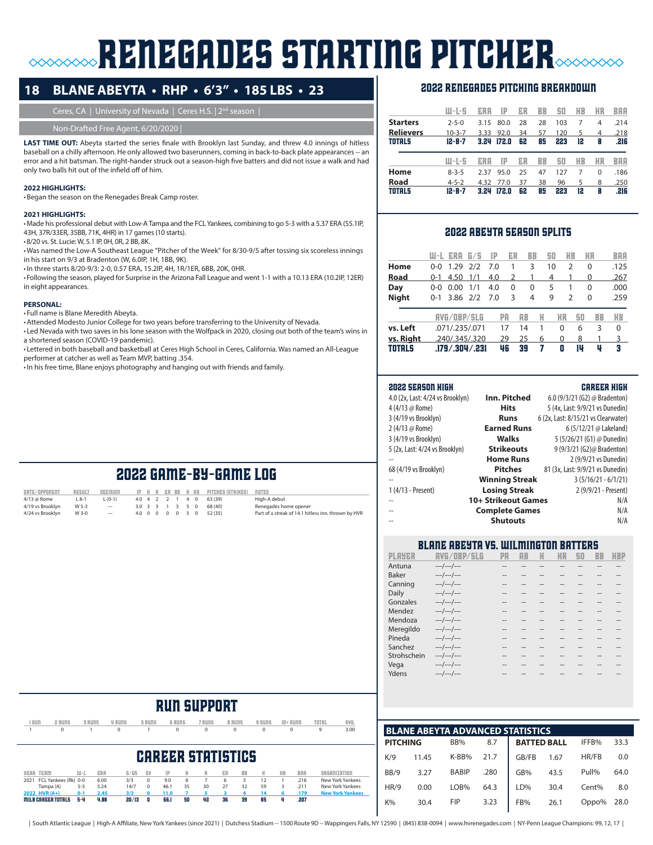# **RENEGADES STARTING PITCHER**

### **18 BLANE ABEYTA • RHP • 6'3" • 185 LBS • 23**

Ceres, CA | University of Nevada | Ceres H.S. | 2<sup>nd</sup> season |

### Non-Drafted Free Agent, 6/20/2020 |

LAST TIME OUT: Abeyta started the series finale with Brooklyn last Sunday, and threw 4.0 innings of hitless baseball on a chilly afternoon. He only allowed two baserunners, coming in back-to-back plate appearances -- an error and a hit batsman. The right-hander struck out a season-high five batters and did not issue a walk and had only two balls hit out of the infield off of him.

### **2022 HIGHLIGHTS:**

•Began the season on the Renegades Break Camp roster.

### **2021 HIGHLIGHTS:**

•Made his professional debut with Low-A Tampa and the FCL Yankees, combining to go 5-3 with a 5.37 ERA (55.1IP, 43H, 37R/33ER, 35BB, 71K, 4HR) in 17 games (10 starts).

•8/20 vs. St. Lucie: W, 5.1 IP, 0H, 0R, 2 BB, 8K.

•Was named the Low-A Southeast League "Pitcher of the Week" for 8/30-9/5 after tossing six scoreless innings in his start on 9/3 at Bradenton (W, 6.0IP, 1H, 1BB, 9K).

•In three starts 8/20-9/3: 2-0, 0.57 ERA, 15.2IP, 4H, 1R/1ER, 6BB, 20K, 0HR.

•Following the season, played for Surprise in the Arizona Fall League and went 1-1 with a 10.13 ERA (10.2IP, 12ER) in eight appearances.

### **PERSONAL:**

• Full name is Blane Meredith Abeyta.

•Attended Modesto Junior College for two years before transferring to the University of Nevada.

• Led Nevada with two saves in his lone season with the Wolfpack in 2020, closing out both of the team's wins in a shortened season (COVID-19 pandemic).

• Lettered in both baseball and basketball at Ceres High School in Ceres, California. Was named an All-League performer at catcher as well as Team MVP, batting .354.

•In his free time, Blane enjoys photography and hanging out with friends and family.

### 2022 renegades pitching breakdown

|                  | W-L-5        | ERA  | IP    | ER | BB | 50  | HB | ИR       | BAA  |
|------------------|--------------|------|-------|----|----|-----|----|----------|------|
| <b>Starters</b>  | $2 - 5 - 0$  | 3.15 | 80.0  | 28 | 28 | 103 | 7  | 4        | .214 |
| <b>Relievers</b> | $10 - 3 - 7$ | 3.33 | 92.0  | 34 | 57 | 120 | 5  | 4        | .218 |
| <b>TOTALS</b>    | $12 - 8 - 7$ | 3.24 | 172.0 | 62 | 85 | 223 | 12 | 8        | .216 |
|                  |              |      |       |    |    |     |    |          |      |
|                  | W-L-5        | ERA  | IP    | ER | BB | 50  | HB | ИR       | BAA  |
| Home             | $8 - 3 - 5$  | 2.37 | 95.0  | 25 | 47 | 127 | 7  | $\Omega$ | .186 |
| Road             | $4 - 5 - 2$  | 4.32 | 77.0  | 37 | 38 | 96  | 5  | 8        | .250 |

### 2022 abeyta season splits

|               | W-L     | ERA                | 6/5 | TP  | ER            | BB        |   | 50       | ИB            | ИR | BAA      |
|---------------|---------|--------------------|-----|-----|---------------|-----------|---|----------|---------------|----|----------|
| Home          | 0-0     | 1.29               | 2/2 | 7.0 |               | 3         |   | 10       | 2             | 0  | .125     |
| Road          | $0 - 1$ | 4.50               | 1/1 | 4.0 | $\mathcal{P}$ | 1         |   | 4        |               | 0  | .267     |
| Day           | 0-0     | 0.00               | 1/1 | 4.0 | 0             | 0         |   | 5        | 1             | 0  | .000     |
| <b>Night</b>  | $0 - 1$ | $3.86$ $2/2$       |     | 7.0 | 3             | 4         |   | 9        | $\mathcal{P}$ | 0  | .259     |
|               |         | AVG/OBP/SLG        |     |     | PA            | <b>AB</b> | H | ИR       | 50            | BB | HB       |
| vs. Left      |         | .071/.235/.071     |     |     | 17            | 14        | 1 | $\Omega$ | 6             | 3  | $\Omega$ |
| vs. Right     |         | .240/.345/.320     |     |     | 29            | 25        | 6 | $\Omega$ | 8             |    | 3        |
| <b>TOTALS</b> |         | .179 / .304 / .231 |     |     | 46            | 39        | 7 | Π        | 1U            | Ų  | 3        |

### 2022 season high career high

|                                  | Inn. Pitched          | 6.0 (9/3/21 (G2) @ Bradenton)       |
|----------------------------------|-----------------------|-------------------------------------|
| 4.0 (2x, Last: 4/24 vs Brooklyn) |                       |                                     |
| 4 (4/13 @ Rome)                  | <b>Hits</b>           | 5 (4x, Last: 9/9/21 vs Dunedin)     |
| 3 (4/19 vs Brooklyn)             | <b>Runs</b>           | 6 (2x, Last: 8/15/21 vs Clearwater) |
| 2 (4/13 @ Rome)                  | <b>Earned Runs</b>    | 6 (5/12/21 @ Lakeland)              |
| 3 (4/19 vs Brooklyn)             | <b>Walks</b>          | 5 (5/26/21 (G1) @ Dunedin)          |
| 5 (2x, Last: 4/24 vs Brooklyn)   | <b>Strikeouts</b>     | 9 (9/3/21 (G2)@ Bradenton)          |
|                                  | <b>Home Runs</b>      | 2 (9/9/21 vs Dunedin)               |
| 68 (4/19 vs Brooklyn)            | <b>Pitches</b>        | 81 (3x, Last: 9/9/21 vs Dunedin)    |
|                                  | <b>Winning Streak</b> | $3(5/16/21 - 6/1/21)$               |
| 1 (4/13 - Present)               | <b>Losing Streak</b>  | 2 (9/9/21 - Present)                |
| $\overline{\phantom{a}}$         | 10+ Strikeout Games   | N/A                                 |
|                                  | <b>Complete Games</b> | N/A                                 |
| $\overline{a}$                   | <b>Shutouts</b>       | N/A                                 |
|                                  |                       |                                     |

### blane abeyta vs. Wilmington batters

| РІ НУЕК     | <b>HVG/NRP/</b> | PЯ     | AR     |    | ИR | 50 | RR    | HKP   |
|-------------|-----------------|--------|--------|----|----|----|-------|-------|
| Antuna      | ---/---/---     | --     |        |    |    |    |       | --    |
| Baker       | ---/---/---     | --     | $- -$  |    | -- |    | $-1$  | --    |
| Canning     | $---/---/---$   | $\sim$ |        |    |    |    |       | --    |
| Daily       | $---/---/---$   |        |        |    |    |    |       | --    |
| Gonzales    | $---/---/---$   | $\sim$ | $- -$  |    | -- |    | $- -$ | $-1$  |
| Mendez      | $---/---/---$   | --     |        |    |    |    | --    | --    |
| Mendoza     | ---/---/---     |        |        |    |    |    |       | $-1$  |
| Meregildo   | $---/---/---$   | $\sim$ | $\sim$ | -- | -- |    | --    | $- -$ |
| Pineda      | $---/---/---$   |        |        |    |    |    |       | --    |
| Sanchez     | ---/---/---     | --     |        |    |    |    |       | $-1$  |
| Strohschein | $---/---/---$   | $\sim$ | --     |    |    |    | --    | --    |
| Vega        | ---/---/---     |        |        |    |    |    |       |       |
| Ydens       | ---/---/---     |        |        |    |    |    |       |       |
|             |                 |        |        |    |    |    |       |       |

| í RUN                     | 2 RUNS               |           | 3 RUNS     | 4 RUNS | 5 RUNS   | <b>6 RUNS</b> |    | 7 RUNS                   |    | 8 RUNS    | 9 RUNS |    | $10 +$ RUNS | TOTAL        | AVG.                    |
|---------------------------|----------------------|-----------|------------|--------|----------|---------------|----|--------------------------|----|-----------|--------|----|-------------|--------------|-------------------------|
|                           | $\mathbf 0$          |           |            | 0      |          | 0             |    | 0                        |    | 0         | 0      |    | 0           | 9            | 3.00                    |
|                           |                      |           |            |        |          |               |    |                          |    |           |        |    |             |              |                         |
|                           |                      |           |            |        |          |               |    |                          |    |           |        |    |             |              |                         |
|                           |                      |           |            |        |          |               |    | <b>CAREER STATISTICS</b> |    |           |        |    |             |              |                         |
|                           |                      |           |            |        |          |               |    |                          |    |           |        |    |             |              |                         |
| <b>YEAR TEAM</b>          |                      | $III - I$ | <b>ERR</b> | G/GS   | 5V       | IP            | H  | R                        | ER | <b>BB</b> | K      | HR | <b>BRA</b>  | ORGANIZATION |                         |
| 2021                      | FCL Yankees (Rk) 0-0 |           | 6.00       | 3/3    | $\Omega$ | 9.0           | 8  |                          | 6  | 3         | 12     |    | .216        |              | New York Yankees        |
|                           | Tampa (A)            | $5 - 3$   | 5.24       | 14/7   | $\Omega$ | 46.1          | 35 | 30                       | 27 | 32        | 59     | 3  | .211        |              | New York Yankees        |
| 2022 HVR (A+)             |                      | $0 - 1$   | 2.45       | 3/3    | n        | 11.0          |    |                          |    |           | 14     | n  | .179        |              | <b>New York Yankees</b> |
| <b>MILB CAREER TOTALS</b> |                      | 5-4       | 4.88       | 20/13  | o        | 66.1          | 50 | 42                       | 36 | 39        | 85     | ų  | .207        |              |                         |
|                           |                      |           |            |        |          |               |    |                          |    |           |        |    |             |              |                         |

run support

|                 |       | <b>BLANE ABEYTA ADVANCED STATISTICS</b> |      |                    |      |       |      |
|-----------------|-------|-----------------------------------------|------|--------------------|------|-------|------|
| <b>PITCHING</b> |       | BB%                                     | 8.7  | <b>BATTED BALL</b> |      | IFFB% | 33.3 |
| K/9             | 11.45 | K-BB%                                   | 21.7 | GB/FB              | 1.67 | HR/FB | 0.0  |
| BB/9            | 3.27  | <b>BABIP</b>                            | .280 | GB%                | 43.5 | Pull% | 64.0 |
| HR/9            | 0.00  | LOB%                                    | 64.3 | LD%                | 30.4 | Cent% | 8.0  |
| $K\%$           | 30.4  | <b>FIP</b>                              | 3.23 | FB%                | 26.1 | Oppo% | 28.0 |
|                 |       |                                         |      |                    |      |       |      |

### 2022 game-by-game log date/opponent result decision ip h r er bb k hr pitches (strikes) notes<br>4/13 @ Rome 1.8-1 1. (0-1) 4.0 4 2 2 1 4 0 63 (39) High-A debut

4/13 @ Rome L 8-1 L (0-1) 4.0 4 2 2 1 4 0 63 (39) High-A debut 4.0 0 0 0 0 0 5 0 52 (35)<br>4.0 0 0 0 0 5 0 52 (35) 4/24 vs Brooklyn W 3-0 --- 4.0 0 0 0 0 5 0 52 (35) Part of a streak of 14.1 hitless inn. thrown by HVR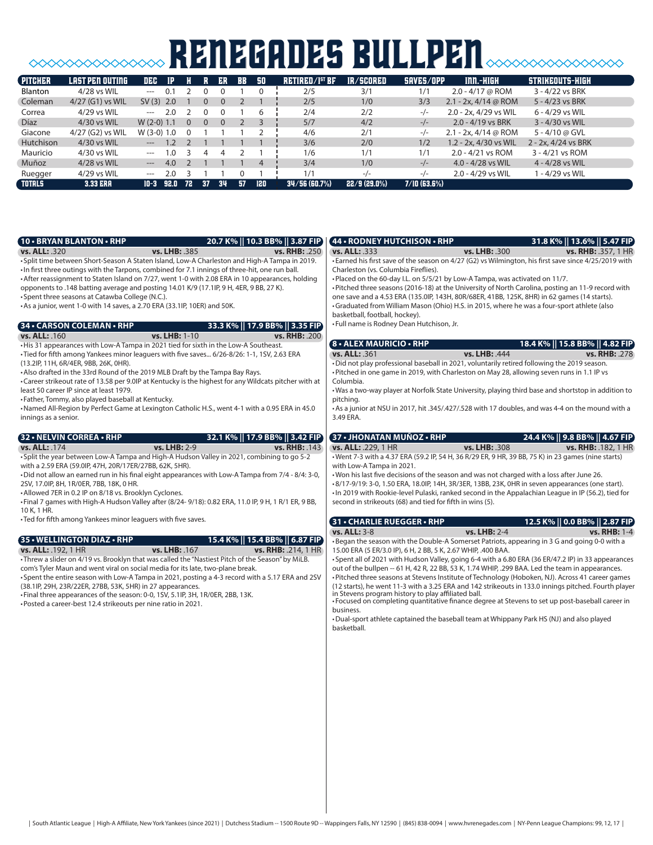# **SOOOOOOOOOOOOOOO RENEGADES BULLPEN**SOOOOOOOOOOO

| <b>PITCHER</b> | LAST PEN OUTING    | <b>DEC</b>   | <b>IP</b> |          |          | ER       | <b>BB</b> | -90 | $RETIRED/IST$ BF | IR/SCORED      | SAVES/OPP      | INN.-HIGH              | STRIKEOUTS-HIGH     |
|----------------|--------------------|--------------|-----------|----------|----------|----------|-----------|-----|------------------|----------------|----------------|------------------------|---------------------|
| <b>Blanton</b> | 4/28 vs WIL        | $---$        | 0.1       |          |          |          |           |     | 2/5              | 3/1            | 1/1            | $2.0 - 4/17$ @ ROM     | 3 - 4/22 vs BRK     |
| Coleman        | $4/27$ (G1) vs WIL | $SV(3)$ 2.0  |           |          | 0        | $\Omega$ |           |     | 2/5              | 1/0            | 3/3            | 2.1 - 2x, $4/14$ @ ROM | 5 - 4/23 vs BRK     |
| Correa         | 4/29 vs WIL        | $\cdots$     | 2.0       |          |          |          |           | 6   | 2/4              | 2/2            | -/-            | 2.0 - 2x, 4/29 vs WIL  | 6 - 4/29 vs WIL     |
| <b>Díaz</b>    | 4/30 vs WIL        | $W(2-0)$ 1.1 |           | $\Omega$ | $\Omega$ | $\Omega$ |           |     | 5/7              | 4/2            | $-/-$          | $2.0 - 4/19$ vs BRK    | 3 - 4/30 vs WIL     |
| Giacone        | 4/27 (G2) vs WIL   | $W(3-0)$ 1.0 |           |          |          |          |           |     | 4/6              | 2/1            | $-/-$          | 2.1 - 2x, 4/14 @ ROM   | 5 - 4/10 @ GVL      |
| Hutchison      | 4/30 vs WIL        | $---$        | 1.2       |          |          |          |           |     | 3/6              | 2/0            | 1/2            | 1.2 - 2x, 4/30 vs WIL  | 2 - 2x, 4/24 vs BRK |
| Mauricio       | $4/30$ vs WIL      | $---$        | 1.0       |          |          |          |           |     | 1/6              | 1/1            | 1/1            | 2.0 - 4/21 vs ROM      | 3 - 4/21 vs ROM     |
| Muñoz          | 4/28 vs WIL        | $---$        | 4.0       |          |          |          |           | 4   | 3/4              | 1/0            | $-/-$          | $4.0 - 4/28$ vs WIL    | 4 - 4/28 vs WIL     |
| Ruegger        | 4/29 vs WIL        | $---$        | 2.0       |          |          |          |           |     | 1/1              | $-/-$          | $-/-$          | 2.0 - 4/29 vs WIL      | 1 - 4/29 vs WIL     |
| <b>TOTALS</b>  | <b>3.33 ERA</b>    | $10-3$       | 92.0      | - 72     | 37       | 34       | 57        | 120 | 34/56(60.7%)     | $22/9(29.0\%)$ | $7/10$ (63.6%) |                        |                     |

| <b>10 • BRYAN BLANTON • RHP</b><br>20.7 K%    10.3 BB%    3.87 FIP                                                                                                                                                                                                                                                                                                                                                                                                                                                                                                                                                                               |                      | 44 • RODNEY HUTCHISON • RHP                                                                                                                                                                                                                                                                                                                                                                                                                                                                                                                                                                                                                                                                                                                                                                                                                                                             |               | 31.8 K%    13.6%    5.47 FIP)                            |
|--------------------------------------------------------------------------------------------------------------------------------------------------------------------------------------------------------------------------------------------------------------------------------------------------------------------------------------------------------------------------------------------------------------------------------------------------------------------------------------------------------------------------------------------------------------------------------------------------------------------------------------------------|----------------------|-----------------------------------------------------------------------------------------------------------------------------------------------------------------------------------------------------------------------------------------------------------------------------------------------------------------------------------------------------------------------------------------------------------------------------------------------------------------------------------------------------------------------------------------------------------------------------------------------------------------------------------------------------------------------------------------------------------------------------------------------------------------------------------------------------------------------------------------------------------------------------------------|---------------|----------------------------------------------------------|
| vs. LHB: .385<br><b>vs. ALL: 320</b>                                                                                                                                                                                                                                                                                                                                                                                                                                                                                                                                                                                                             | <b>vs. RHB: .250</b> | <b>vs. ALL: 333</b>                                                                                                                                                                                                                                                                                                                                                                                                                                                                                                                                                                                                                                                                                                                                                                                                                                                                     | vs. LHB: .300 | <b>vs. RHB: .357, 1 HR</b>                               |
| • Split time between Short-Season A Staten Island, Low-A Charleston and High-A Tampa in 2019.<br>. In first three outings with the Tarpons, combined for 7.1 innings of three-hit, one run ball.<br>• After reassignment to Staten Island on 7/27, went 1-0 with 2.08 ERA in 10 appearances, holding<br>opponents to .148 batting average and posting 14.01 K/9 (17.1lP, 9 H, 4ER, 9 BB, 27 K).<br>• Spent three seasons at Catawba College (N.C.).<br>• As a junior, went 1-0 with 14 saves, a 2.70 ERA (33.1IP, 10ER) and 50K.                                                                                                                 |                      | • Earned his first save of the season on 4/27 (G2) vs Wilmington, his first save since 4/25/2019 with<br>Charleston (vs. Columbia Fireflies).<br>. Placed on the 60-day I.L. on 5/5/21 by Low-A Tampa, was activated on 11/7.<br>• Pitched three seasons (2016-18) at the University of North Carolina, posting an 11-9 record with<br>one save and a 4.53 ERA (135.0IP, 143H, 80R/68ER, 41BB, 125K, 8HR) in 62 games (14 starts).<br>•Graduated from William Mason (Ohio) H.S. in 2015, where he was a four-sport athlete (also<br>basketball, football, hockey).                                                                                                                                                                                                                                                                                                                      |               |                                                          |
| 34 • CARSON COLEMAN • RHP<br>33.3 K%    17.9 BB%    3.35 FIP                                                                                                                                                                                                                                                                                                                                                                                                                                                                                                                                                                                     |                      | • Full name is Rodney Dean Hutchison, Jr.                                                                                                                                                                                                                                                                                                                                                                                                                                                                                                                                                                                                                                                                                                                                                                                                                                               |               |                                                          |
| <b>vs. ALL: . 160</b><br>vs. LHB: 1-10                                                                                                                                                                                                                                                                                                                                                                                                                                                                                                                                                                                                           | <b>vs. RHB: .200</b> |                                                                                                                                                                                                                                                                                                                                                                                                                                                                                                                                                                                                                                                                                                                                                                                                                                                                                         |               |                                                          |
| . His 31 appearances with Low-A Tampa in 2021 tied for sixth in the Low-A Southeast.<br>•Tied for fifth among Yankees minor leaguers with five saves 6/26-8/26: 1-1, 1SV, 2.63 ERA<br>(13.2IP, 11H, 6R/4ER, 9BB, 26K, 0HR).<br>• Also drafted in the 33rd Round of the 2019 MLB Draft by the Tampa Bay Rays.<br>•Career strikeout rate of 13.58 per 9.0IP at Kentucky is the highest for any Wildcats pitcher with at<br>least 50 career IP since at least 1979.<br>• Father, Tommy, also played baseball at Kentucky.<br>•Named All-Region by Perfect Game at Lexington Catholic H.S., went 4-1 with a 0.95 ERA in 45.0<br>innings as a senior. |                      | <b>8 - ALEX MAURICIO - RHP</b><br><b>vs. ALL: 361</b><br>. Did not play professional baseball in 2021, voluntarily retired following the 2019 season.<br>• Pitched in one game in 2019, with Charleston on May 28, allowing seven runs in 1.1 IP vs<br>Columbia.<br>. Was a two-way player at Norfolk State University, playing third base and shortstop in addition to<br>pitching.<br>• As a junior at NSU in 2017, hit .345/.427/.528 with 17 doubles, and was 4-4 on the mound with a<br>3.49 ERA.                                                                                                                                                                                                                                                                                                                                                                                  | vs. LHB: .444 | 18.4 K%    15.8 BB%    4.82 FIP)<br><b>vs. RHB: .278</b> |
| 32 . NELVIN CORREA . RHP<br>32.1 K%    17.9 BB%    3.42 FIP                                                                                                                                                                                                                                                                                                                                                                                                                                                                                                                                                                                      |                      | 37 • JHONATAN MUÑOZ • RHP                                                                                                                                                                                                                                                                                                                                                                                                                                                                                                                                                                                                                                                                                                                                                                                                                                                               |               | 24.4 K%    9.8 BB%    4.67 FIP)                          |
| vs. ALL: .174<br>vs. LHB: 2-9<br>• Split the year between Low-A Tampa and High-A Hudson Valley in 2021, combining to go 5-2<br>with a 2.59 ERA (59.0IP, 47H, 20R/17ER/27BB, 62K, 5HR).<br>. Did not allow an earned run in his final eight appearances with Low-A Tampa from 7/4 - 8/4: 3-0,<br>2SV, 17.0IP, 8H, 1R/0ER, 7BB, 18K, 0 HR.<br>• Allowed 7ER in 0.2 IP on 8/18 vs. Brooklyn Cyclones.<br>. Final 7 games with High-A Hudson Valley after (8/24-9/18): 0.82 ERA, 11.0 IP, 9 H, 1 R/1 ER, 9 BB,<br>10 K. 1 HR.                                                                                                                        | vs. RHB: . 143       | vs. ALL: .229, 1 HR<br>. Went 7-3 with a 4.37 ERA (59.2 IP, 54 H, 36 R/29 ER, 9 HR, 39 BB, 75 K) in 23 games (nine starts)<br>with Low-A Tampa in 2021.<br>. Won his last five decisions of the season and was not charged with a loss after June 26.<br>•8/17-9/19: 3-0, 1.50 ERA, 18.0IP, 14H, 3R/3ER, 13BB, 23K, 0HR in seven appearances (one start).<br>. In 2019 with Rookie-level Pulaski, ranked second in the Appalachian League in IP (56.2), tied for<br>second in strikeouts (68) and tied for fifth in wins (5).                                                                                                                                                                                                                                                                                                                                                           | vs. LHB: .308 | vs. RHB: . 182, 1 HR                                     |
| • Ted for fifth among Yankees minor leaguers with five saves.                                                                                                                                                                                                                                                                                                                                                                                                                                                                                                                                                                                    |                      | 31 • CHARLIE RUEGGER • RHP                                                                                                                                                                                                                                                                                                                                                                                                                                                                                                                                                                                                                                                                                                                                                                                                                                                              |               | 12.5 K%    0.0 BB%    2.87 FIP)                          |
| 35 • WELLINGTON DIAZ • RHP<br>15.4 K%   15.4 BB%   6.87 FIP<br>vs. ALL: .192, 1 HR<br>vs. LHB: . 167<br>vs. RHB: .214, 1 HR<br>-Threw a slider on 4/19 vs. Brooklyn that was called the "Nastiest Pitch of the Season" by MiLB.<br>com's Tyler Maun and went viral on social media for its late, two-plane break.<br>•Spent the entire season with Low-A Tampa in 2021, posting a 4-3 record with a 5.17 ERA and 2SV<br>(38.1IP, 29H, 23R/22ER, 27BB, 53K, 5HR) in 27 appearances.<br>. Final three appearances of the season: 0-0, 1SV, 5.1IP, 3H, 1R/0ER, 2BB, 13K.<br>• Posted a career-best 12.4 strikeouts per nine ratio in 2021.          |                      | vs. ALL: 3-8<br>•Began the season with the Double-A Somerset Patriots, appearing in 3 G and going 0-0 with a<br>15.00 ERA (5 ER/3.0 IP), 6 H, 2 BB, 5 K, 2.67 WHIP, .400 BAA.<br>• Spent all of 2021 with Hudson Valley, going 6-4 with a 6.80 ERA (36 ER/47.2 IP) in 33 appearances<br>out of the bullpen -- 61 H, 42 R, 22 BB, 53 K, 1.74 WHIP, .299 BAA. Led the team in appearances.<br>• Pitched three seasons at Stevens Institute of Technology (Hoboken, NJ). Across 41 career games<br>(12 starts), he went 11-3 with a 3.25 ERA and 142 strikeouts in 133.0 innings pitched. Fourth player<br>in Stevens program history to play affiliated ball.<br>• Focused on completing quantitative finance degree at Stevens to set up post-baseball career in<br>business.<br>•Dual-sport athlete captained the baseball team at Whippany Park HS (NJ) and also played<br>basketball. | vs. LHB: 2-4  | <b>vs. RHB: 1-4</b>                                      |
|                                                                                                                                                                                                                                                                                                                                                                                                                                                                                                                                                                                                                                                  |                      |                                                                                                                                                                                                                                                                                                                                                                                                                                                                                                                                                                                                                                                                                                                                                                                                                                                                                         |               |                                                          |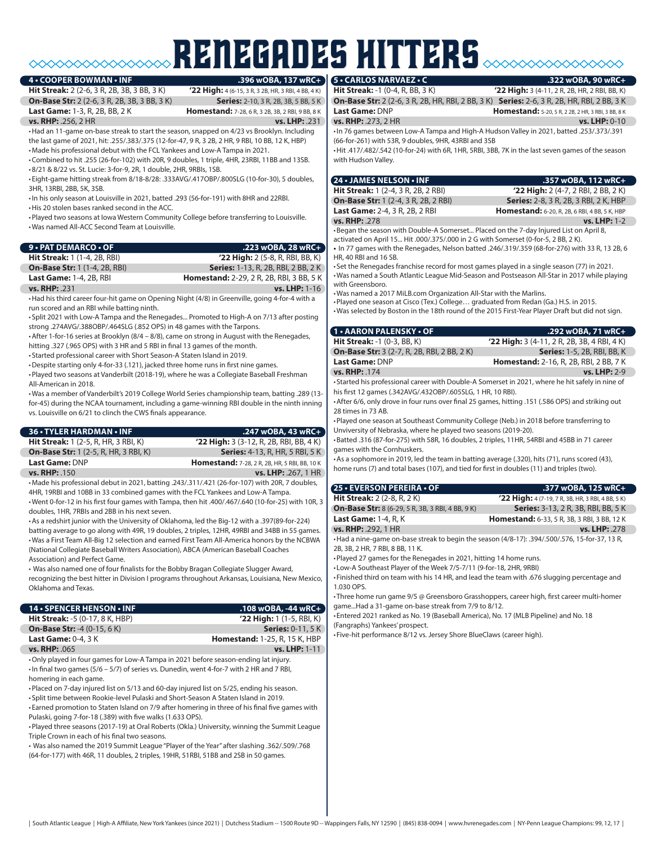# RENEGADES hitters

### **4 • COOPER BOWMAN • INF**

**Hit Streak:** 2 (2-6, 3 R, 2B, 3B, 3 BB, 3 K) **'22 High:** 4 (6-15, 3 R, 3 2B, HR, 3 RBI, 4 BB, 4 K) **On-Base Str:** 2 (2-6, 3 R, 2B, 3B, 3 BB, 3 K) **Series:** 2-10, 3 R, 2B, 3B, 5 BB, 5 K<br>**Last Game:** 1-3, R, 2B, BB, 2 K<br>**Homestand:** 7-28, 6 R, 3 2B, 3B, 2 BB, 9 BB, 8 K

**Homestand:** 7-28, 6 R, 3 2B, 3B, 2 RBI, 9 BB, 8 K

**vs. RHP:** .256, 2 HR **vs. LHP:** .231

•Had an 11-game on-base streak to start the season, snapped on 4/23 vs Brooklyn. Including the last game of 2021, hit: .255/.383/.375 (12-for-47, 9 R, 3 2B, 2 HR, 9 RBI, 10 BB, 12 K, HBP)

•Made his professional debut with the FCL Yankees and Low-A Tampa in 2021. •Combined to hit .255 (26-for-102) with 20R, 9 doubles, 1 triple, 4HR, 23RBI, 11BB and 13SB.

•8/21 & 8/22 vs. St. Lucie: 3-for-9, 2R, 1 double, 2HR, 9RBIs, 1SB.

• Eight-game hitting streak from 8/18-8/28: .333AVG/.417OBP/.800SLG (10-for-30), 5 doubles, 3HR, 13RBI, 2BB, 5K, 3SB.

•In his only season at Louisville in 2021, batted .293 (56-for-191) with 8HR and 22RBI.

•His 20 stolen bases ranked second in the ACC.

•Played two seasons at Iowa Western Community College before transferring to Louisville. •Was named All-ACC Second Team at Louisville.

| $9 \cdot$ PAT DEMARCO $\cdot$ OF     | $.223$ wOBA, 28 wRC+                            |
|--------------------------------------|-------------------------------------------------|
| <b>Hit Streak:</b> 1 (1-4, 2B, RBI)  | <b>'22 High:</b> 2 (5-8, R, RBI, BB, K)         |
| <b>On-Base Str: 1 (1-4, 2B, RBI)</b> | <b>Series:</b> 1-13, R, 2B, RBI, 2 BB, 2 K      |
| <b>Last Game: 1-4, 2B, RBI</b>       | <b>Homestand:</b> 2-29, 2 R, 2B, RBI, 3 BB, 5 K |
| <b>vs. RHP: .231</b>                 | <b>vs. LHP:</b> 1-16                            |

•Had his third career four-hit game on Opening Night (4/8) in Greenville, going 4-for-4 with a run scored and an RBI while batting ninth.

• Split 2021 with Low-A Tampa and the Renegades... Promoted to High-A on 7/13 after posting strong .274AVG/.388OBP/.464SLG (.852 OPS) in 48 games with the Tarpons.

•After 1-for-16 series at Brooklyn (8/4 – 8/8), came on strong in August with the Renegades, hitting .327 (.965 OPS) with 3 HR and 5 RBI in final 13 games of the month.

• Started professional career with Short Season-A Staten Island in 2019.

•Despite starting only 4-for-33 (.121), jacked three home runs in first nine games.

•Played two seasons at Vanderbilt (2018-19), where he was a Collegiate Baseball Freshman All-American in 2018.

•Was a member of Vanderbilt's 2019 College World Series championship team, batting .289 (13 for-45) during the NCAA tournament, including a game-winning RBI double in the ninth inning vs. Louisville on 6/21 to clinch the CWS finals appearance.

| <b>36 • TYLER HARDMAN • INF</b>              | $.247$ wOBA, 43 wRC+                                 |
|----------------------------------------------|------------------------------------------------------|
| <b>Hit Streak:</b> 1 (2-5, R, HR, 3 RBI, K)  | $'22$ High: 3 (3-12, R, 2B, RBI, BB, 4 K)            |
| <b>On-Base Str:</b> 1 (2-5, R, HR, 3 RBI, K) | <b>Series:</b> 4-13, R, HR, 5 RBI, 5 K               |
| Last Game: DNP                               | <b>Homestand:</b> 7-28, 2 R, 2B, HR, 5 RBI, BB, 10 K |
| vs. RHP: .150                                | <b>vs. LHP: .267, 1 HR</b>                           |

•Made his professional debut in 2021, batting .243/.311/.421 (26-for-107) with 20R, 7 doubles, 4HR, 19RBI and 10BB in 33 combined games with the FCL Yankees and Low-A Tampa. •Went 0-for-12 in his first four games with Tampa, then hit .400/.467/.640 (10-for-25) with 10R, 3 doubles, 1HR, 7RBIs and 2BB in his next seven.

•As a redshirt junior with the University of Oklahoma, led the Big-12 with a .397(89-for-224) batting average to go along with 49R, 19 doubles, 2 triples, 12HR, 49RBI and 34BB in 55 games. •Was a First Team All-Big 12 selection and earned First Team All-America honors by the NCBWA (National Collegiate Baseball Writers Association), ABCA (American Baseball Coaches Association) and Perfect Game.

• Was also named one of four finalists for the Bobby Bragan Collegiate Slugger Award, recognizing the best hitter in Division I programs throughout Arkansas, Louisiana, New Mexico, Oklahoma and Texas.

| <b>14 • SPENCER HENSON • INF</b>                                                                | .108 wOBA, -44 wRC+                  |
|-------------------------------------------------------------------------------------------------|--------------------------------------|
| <b>Hit Streak: -5 (0-17, 8 K, HBP)</b>                                                          | $'22$ High: 1 (1-5, RBI, K)          |
| <b>On-Base Str: -4 (0-15, 6 K)</b>                                                              | <b>Series: 0-11, 5 K</b>             |
| <b>Last Game: 0-4, 3 K</b>                                                                      | <b>Homestand: 1-25, R, 15 K, HBP</b> |
| vs. RHP: .065                                                                                   | vs. LHP: 1-11                        |
| •Only played in four games for Low-A Tampa in 2021 before season-ending lat injury.             |                                      |
| $\cdot$ In final two games (5/6 – 5/7) of series vs. Dunedin, went 4-for-7 with 2 HR and 7 RBI, |                                      |
| homering in each game.                                                                          |                                      |

•Placed on 7-day injured list on 5/13 and 60-day injured list on 5/25, ending his season.

• Split time between Rookie-level Pulaski and Short-Season A Staten Island in 2019. • Earned promotion to Staten Island on 7/9 after homering in three of his final five games with

Pulaski, going 7-for-18 (.389) with five walks (1.633 OPS). •Played three seasons (2017-19) at Oral Roberts (Okla.) University, winning the Summit League

Triple Crown in each of his final two seasons.

• Was also named the 2019 Summit League "Player of the Year" after slashing .362/.509/.768 (64-for-177) with 46R, 11 doubles, 2 triples, 19HR, 51RBI, 51BB and 2SB in 50 games.

### **5 • CARLOS NARVAEZ • C .322 wOBA, 90 wRC+**

**Hit Streak:** -1 (0-4, R, BB, 3 K) **'22 High:** 3 (4-11, 2 R, 2B, HR, 2 RBI, BB, K) **On-Base Str:** 2 (2-6, 3 R, 2B, HR, RBI, 2 BB, 3 K) **Series:** 2-6, 3 R, 2B, HR, RBI, 2 BB, 3 K

**Last Game:** DNP **Homestand:**  $5-20, 5 R, 2 2 B, 2 HR, 3 RB, 8 B, 8 K$ <br> **vs. RHP:** .273, 2 HR

**vs. RHP: .273, 2 HR** 

•In 76 games between Low-A Tampa and High-A Hudson Valley in 2021, batted .253/.373/.391

(66-for-261) with 53R, 9 doubles, 9HR, 43RBI and 3SB

•Hit .417/.482/.542 (10-for-24) with 6R, 1HR, 5RBI, 3BB, 7K in the last seven games of the season with Hudson Valley.

| 24 • JAMES NELSON • INF                                                                | .357 wOBA, 112 wRC+                                  |
|----------------------------------------------------------------------------------------|------------------------------------------------------|
| <b>Hit Streak:</b> 1 (2-4, 3 R, 2B, 2 RBI)                                             | $'22$ High: 2 (4-7, 2 RBI, 2 BB, 2 K)                |
| <b>On-Base Str:</b> 1 (2-4, 3 R, 2B, 2 RBI)                                            | Series: 2-8, 3 R, 2B, 3 RBI, 2 K, HBP                |
| Last Game: 2-4, 3 R, 2B, 2 RBI                                                         | <b>Homestand:</b> 6-20, R, 2B, 6 RBI, 4 BB, 5 K, HBP |
| <b>vs. RHP: .278</b>                                                                   | $vs.$ LHP: $1-2$                                     |
| • Began the season with Double-A Somerset Placed on the 7-day Injured List on April 8. |                                                      |

•Began the season with Double-A Somerset... Placed on the 7-day Injured List on April 8, activated on April 15... Hit .000/.375/.000 in 2 G with Somerset (0-for-5, 2 BB, 2 K).

**•** In 77 games with the Renegades, Nelson batted .246/.319/.359 (68-for-276) with 33 R, 13 2B, 6 HR, 40 RBI and 16 SB.

• Set the Renegades franchise record for most games played in a single season (77) in 2021. •Was named a South Atlantic League Mid-Season and Postseason All-Star in 2017 while playing with Greensboro.

•Was named a 2017 MiLB.com Organization All-Star with the Marlins.

•Played one season at Cisco (Tex.) College… graduated from Redan (Ga.) H.S. in 2015. •Was selected by Boston in the 18th round of the 2015 First-Year Player Draft but did not sign.

| <b>1 • AARON PALENSKY • OF</b>                     | .292 wOBA, 71 wRC+                                  |
|----------------------------------------------------|-----------------------------------------------------|
| <b>Hit Streak: -1 (0-3, BB, K)</b>                 | <b>'22 High:</b> $3(4-11, 2 R, 2B, 3B, 4 RBI, 4 K)$ |
| <b>On-Base Str:</b> 3 (2-7, R, 2B, RBI, 2 BB, 2 K) | <b>Series: 1-5, 2B, RBI, BB, K</b>                  |
| Last Game: DNP                                     | <b>Homestand:</b> 2-16, R, 2B, RBI, 2 BB, 7 K       |
| vs. RHP: 174                                       | <b>vs. LHP: 2-9</b>                                 |
|                                                    |                                                     |

• Started his professional career with Double-A Somerset in 2021, where he hit safely in nine of his first 12 games (.342AVG/.432OBP/.605SLG, 1 HR, 10 RBI).

•After 6/6, only drove in four runs over final 25 games, hitting .151 (.586 OPS) and striking out 28 times in 73 AB.

•Played one season at Southeast Community College (Neb.) in 2018 before transferring to Unviversity of Nebraska, where he played two seasons (2019-20).

•Batted .316 (87-for-275) with 58R, 16 doubles, 2 triples, 11HR, 54RBI and 45BB in 71 career games with the Cornhuskers.

•As a sophomore in 2019, led the team in batting average (.320), hits (71), runs scored (43), home runs (7) and total bases (107), and tied for first in doubles (11) and triples (two).

| <b>25 • EVERSON PEREIRA • OF</b>                                                               | .377 wOBA, 125 wRC+                                |
|------------------------------------------------------------------------------------------------|----------------------------------------------------|
| <b>Hit Streak:</b> 2 (2-8, R, 2 K)                                                             | '22 High: 4 (7-19, 7 R, 3B, HR, 3 RBI, 4 BB, 5 K)  |
| <b>On-Base Str:</b> 8 (6-29, 5 R, 3B, 3 RBI, 4 BB, 9 K)                                        | <b>Series:</b> 3-13, 2 R, 3B, RBI, BB, 5 K         |
| <b>Last Game: 1-4, R, K</b>                                                                    | <b>Homestand:</b> 6-33, 5 R, 3B, 3 RBI, 3 BB, 12 K |
| vs. RHP: .292, 1 HR                                                                            | vs. LHP: 278                                       |
| +Had a nine-game on-base streak to begin the season (4/8-17): .394/.500/.576, 15-for-37, 13 R, |                                                    |

2B, 3B, 2 HR, 7 RBI, 8 BB, 11 K.

•Played 27 games for the Renegades in 2021, hitting 14 home runs.

• Low-A Southeast Player of the Week 7/5-7/11 (9-for-18, 2HR, 9RBI)

• Finished third on team with his 14 HR, and lead the team with .676 slugging percentage and 1.030 OPS.

• Three home run game 9/5 @ Greensboro Grasshoppers, career high, first career multi-homer game...Had a 31-game on-base streak from 7/9 to 8/12.

• Entered 2021 ranked as No. 19 (Baseball America), No. 17 (MLB Pipeline) and No. 18 (Fangraphs) Yankees' prospect.

• Five-hit performance 8/12 vs. Jersey Shore BlueClaws (career high).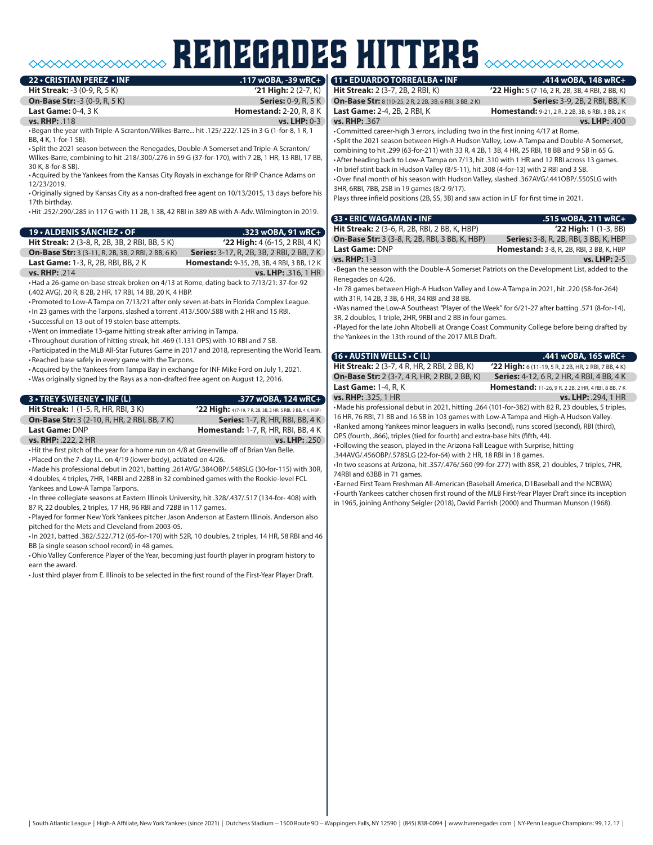### renegades hitters **22 • CRISTIAN PEREZ • INF .117 wOBA, -39 wRC+ 11 • EDUARDO TORREALBA • INF .414 wOBA, 148 wRC+**

**Hit Streak:** -3 (0-9, R, 5 K) **'21 High:** 2 (2-7, K) **On-Base Str:** -3 (0-9, R, 5 K) **Series:** 0-9, R, 5 K **Last Game:** 0-4, 3 K **Homestand:** 2-20, R, 8 K **vs. RHP:** .118 **vs. LHP:** 0-3 •Began the year with Triple-A Scranton/Wilkes-Barre... hit .125/.222/.125 in 3 G (1-for-8, 1 R, 1 BB, 4 K, 1-for-1 SB). • Split the 2021 season between the Renegades, Double-A Somerset and Triple-A Scranton/ Wilkes-Barre, combining to hit .218/.300/.276 in 59 G (37-for-170), with 7 2B, 1 HR, 13 RBI, 17 BB, 30 K, 8-for-8 SB). •Acquired by the Yankees from the Kansas City Royals in exchange for RHP Chance Adams on 12/23/2019. •Originally signed by Kansas City as a non-drafted free agent on 10/13/2015, 13 days before his 17th birthday. •Hit .252/.290/.285 in 117 G with 11 2B, 1 3B, 42 RBI in 389 AB with A-Adv. Wilmington in 2019. **19 • ALDENIS SÁNCHEZ • OF .323 wOBA, 91 wRC+**

| <b>Hit Streak:</b> 2 (3-8, R, 2B, 3B, 2 RBI, BB, 5 K)     |
|-----------------------------------------------------------|
| <b>On-Base Str:</b> 3 (3-11, R, 2B, 3B, 2 RBI, 2 BB, 6 K) |
| <b>Last Game: 1-3, R, 2B, RBI, BB, 2 K</b>                |
|                                                           |



•Had a 26-game on-base streak broken on 4/13 at Rome, dating back to 7/13/21: 37-for-92 (.402 AVG), 20 R, 8 2B, 2 HR, 17 RBI, 14 BB, 20 K, 4 HBP.

•Promoted to Low-A Tampa on 7/13/21 after only seven at-bats in Florida Complex League.

•In 23 games with the Tarpons, slashed a torrent .413/.500/.588 with 2 HR and 15 RBI. • Successful on 13 out of 19 stolen base attempts.

•Went on immediate 13-game hitting streak after arriving in Tampa.

• Throughout duration of hitting streak, hit .469 (1.131 OPS) with 10 RBI and 7 SB. •Participated in the MLB All-Star Futures Game in 2017 and 2018, representing the World Team.

•Reached base safely in every game with the Tarpons. •Acquired by the Yankees from Tampa Bay in exchange for INF Mike Ford on July 1, 2021.

•Was originally signed by the Rays as a non-drafted free agent on August 12, 2016.

| <b>3 • TREY SWEENEY • INF (L)</b>                   | .377 wOBA, 124 wRC+                                         |
|-----------------------------------------------------|-------------------------------------------------------------|
| <b>Hit Streak:</b> 1 (1-5, R, HR, RBI, 3 K)         | '22 High: 4(7-19, 7 R, 2B, 3B, 2 HR, 5 RBI, 3 BB, 4 K, HBP) |
| <b>On-Base Str:</b> 3 (2-10, R, HR, 2 RBI, BB, 7 K) | <b>Series:</b> 1-7, R, HR, RBI, BB, 4 K)                    |
| Last Game: DNP                                      | <b>Homestand:</b> 1-7, R, HR, RBI, BB, 4 K                  |
| <b>vs. RHP: .222, 2 HR</b>                          | vs. LHP: .250                                               |

•Hit the first pitch of the year for a home run on 4/8 at Greenville off of Brian Van Belle.

•Placed on the 7-day I.L. on 4/19 (lower body), actiated on 4/26.

•Made his professional debut in 2021, batting .261AVG/.384OBP/.548SLG (30-for-115) with 30R, 4 doubles, 4 triples, 7HR, 14RBI and 22BB in 32 combined games with the Rookie-level FCL Yankees and Low-A Tampa Tarpons.

•In three collegiate seasons at Eastern Illinois University, hit .328/.437/.517 (134-for- 408) with 87 R, 22 doubles, 2 triples, 17 HR, 96 RBI and 72BB in 117 games.

•Played for former New York Yankees pitcher Jason Anderson at Eastern Illinois. Anderson also pitched for the Mets and Cleveland from 2003-05.

•In 2021, batted .382/.522/.712 (65-for-170) with 52R, 10 doubles, 2 triples, 14 HR, 58 RBI and 46 BB (a single season school record) in 48 games.

•Ohio Valley Conference Player of the Year, becoming just fourth player in program history to earn the award.

•Just third player from E. Illinois to be selected in the first round of the First-Year Player Draft.

**Hit Streak:** 2 (3-7, 2B, 2 RBI, K) **'22 High:** 5 (7-16, 2 R, 2B, 3B, 4 RBI, 2 BB, K) **On-Base Str:** 8 (10-25, 2 R, 2 2B, 3B, 6 RBI, 3 BB, 2 K) **Series:** 3-9, 2B, 2 RBI, BB, K<br>**Last Game:** 2-4, 2B, 2 RBI, K **Homestand:** 9-21, 2 R, 2 2B, 3B, 6 RBI, 3 BB, 2 K

**vs. RHP:** .367 **vs. LHP:** .400 •Committed career-high 3 errors, including two in the first inning 4/17 at Rome. • Split the 2021 season between High-A Hudson Valley, Low-A Tampa and Double-A Somerset, combining to hit .299 (63-for-211) with 33 R, 4 2B, 1 3B, 4 HR, 25 RBI, 18 BB and 9 SB in 65 G. •After heading back to Low-A Tampa on 7/13, hit .310 with 1 HR and 12 RBI across 13 games. •In brief stint back in Hudson Valley (8/5-11), hit .308 (4-for-13) with 2 RBI and 3 SB. •Over final month of his season with Hudson Valley, slashed .367AVG/.441OBP/.550SLG with 3HR, 6RBI, 7BB, 2SB in 19 games (8/2-9/17).

Plays three infield positions (2B, SS, 3B) and saw action in LF for first time in 2021.

| 33 • ERIC WAGAMAN • INF                                                                                                                                      | .515 wOBA, 211 wRC+                                         |
|--------------------------------------------------------------------------------------------------------------------------------------------------------------|-------------------------------------------------------------|
| <b>Hit Streak:</b> 2 (3-6, R, 2B, RBI, 2 BB, K, HBP)                                                                                                         | $'22$ High: 1 $(1-3, BB)$                                   |
| <b>On-Base Str:</b> 3 (3-8, R, 2B, RBI, 3 BB, K, HBP)                                                                                                        | Series: 3-8, R, 2B, RBI, 3 BB, K, HBP                       |
| <b>Last Game: DNP</b>                                                                                                                                        | <b>Homestand:</b> 3-8, R, 2B, RBI, 3 BB, K, HBP             |
| vs. RHP: 1-3                                                                                                                                                 | vs. LHP: 2-5                                                |
| . Began the season with the Double-A Somerset Patriots on the Development List, added to the<br>Renegades on 4/26.                                           |                                                             |
| • In 78 games between High-A Hudson Valley and Low-A Tampa in 2021, hit .220 (58-for-264)<br>with 31R, 14 2B, 3 3B, 6 HR, 34 RBI and 38 BB.                  |                                                             |
| .Was named the Low-A Southeast "Player of the Week" for 6/21-27 after batting .571 (8-for-14),<br>3R, 2 doubles, 1 triple, 2HR, 9RBI and 2 BB in four games. |                                                             |
| •Played for the late John Altobelli at Orange Coast Community College before being drafted by<br>the Yankees in the 13th round of the 2017 MLB Draft.        |                                                             |
| 16 • AUSTIN WELLS • C (L)                                                                                                                                    | .441 wOBA, 165 wRC+                                         |
| <b>Hit Streak:</b> 2 (3-7, 4 R, HR, 2 RBI, 2 BB, K)                                                                                                          | <b>'22 High:</b> 6 (11-19, 5 R, 2 2B, HR, 2 RBI, 7 BB, 4 K) |
| <b>On-Base Str:</b> 2 (3-7, 4 R, HR, 2 RBI, 2 BB, K)                                                                                                         | <b>Series:</b> 4-12, 6 R, 2 HR, 4 RBI, 4 BB, 4 K            |
| <b>Last Game: 1-4, R, K</b>                                                                                                                                  | <b>Homestand:</b> 11-26, 9 R, 2 2B, 2 HR, 4 RBI, 8 BB, 7 K  |
| vs. RHP: .325, 1 HR                                                                                                                                          | vs. LHP: .294, 1 HR                                         |
| •Made his professional debut in 2021, hitting .264 (101-for-382) with 82 R, 23 doubles, 5 triples,                                                           |                                                             |

16 HR, 76 RBI, 71 BB and 16 SB in 103 games with Low-A Tampa and High-A Hudson Valley. •Ranked among Yankees minor leaguers in walks (second), runs scored (second), RBI (third), OPS (fourth, .866), triples (tied for fourth) and extra-base hits (fifth, 44).

• Following the season, played in the Arizona Fall League with Surprise, hitting

.344AVG/.456OBP/.578SLG (22-for-64) with 2 HR, 18 RBI in 18 games.

•In two seasons at Arizona, hit .357/.476/.560 (99-for-277) with 85R, 21 doubles, 7 triples, 7HR, 74RBI and 63BB in 71 games.

• Earned First Team Freshman All-American (Baseball America, D1Baseball and the NCBWA) • Fourth Yankees catcher chosen first round of the MLB First-Year Player Draft since its inception in 1965, joining Anthony Seigler (2018), David Parrish (2000) and Thurman Munson (1968).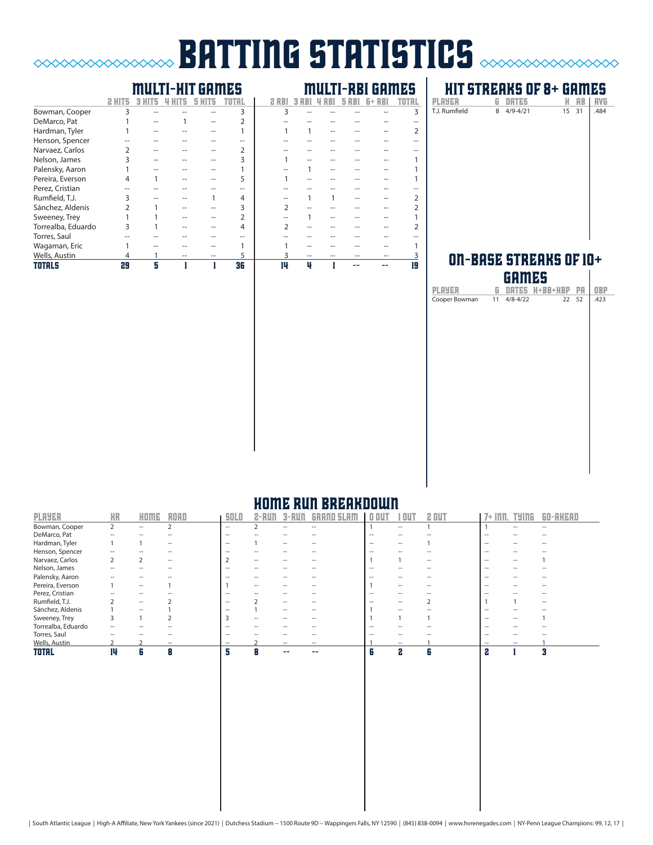## **batting statistics** *station*  $\infty$

### multi-hit games multi-rbi games

 $\begin{picture}(180,10) \put(0,0){\line(1,0){10}} \put(0,0){\line(1,0){10}} \put(0,0){\line(1,0){10}} \put(0,0){\line(1,0){10}} \put(0,0){\line(1,0){10}} \put(0,0){\line(1,0){10}} \put(0,0){\line(1,0){10}} \put(0,0){\line(1,0){10}} \put(0,0){\line(1,0){10}} \put(0,0){\line(1,0){10}} \put(0,0){\line(1,0){10}} \put(0,0){\line(1,0){10}} \put(0$ 

|                    |    |   |  | 'H L |    |   |  |    |
|--------------------|----|---|--|------|----|---|--|----|
| Bowman, Cooper     | 3  |   |  | 3    |    |   |  |    |
| DeMarco, Pat       |    |   |  |      |    |   |  |    |
| Hardman, Tyler     |    |   |  |      |    |   |  |    |
| Henson, Spencer    |    |   |  |      |    |   |  |    |
| Narvaez, Carlos    |    |   |  |      |    |   |  |    |
| Nelson, James      |    |   |  |      |    |   |  |    |
| Palensky, Aaron    |    |   |  |      |    |   |  |    |
| Pereira, Everson   | 4  |   |  |      |    |   |  |    |
| Perez, Cristian    |    |   |  |      |    |   |  |    |
| Rumfield, T.J.     |    |   |  | 4    |    |   |  |    |
| Sánchez, Aldenis   |    |   |  |      |    |   |  |    |
| Sweeney, Trey      |    |   |  |      |    |   |  |    |
| Torrealba, Eduardo | 3  |   |  | 4    |    |   |  |    |
| Torres, Saul       |    |   |  |      |    |   |  |    |
| Wagaman, Eric      |    |   |  |      |    |   |  |    |
| Wells, Austin      | 4  |   |  |      |    |   |  |    |
| TOTALS             | 29 | Я |  | 36   | 14 | u |  | 19 |

### **HIT STREAKS OF 8+ GAMES**<br>Ayer G DATES H AB | AVG player g dates h ab avg PLAYER<br>T.J. Rumfield

### ON-BASE STREAKS OF  $10+$ games

|                           | . .<br>n mea |                            |    |            |
|---------------------------|--------------|----------------------------|----|------------|
| <b>PLAYER</b>             |              | <b>G DATES H+BB+HBP PA</b> |    | <b>OBP</b> |
| Cooper Bowman 11 4/8-4/22 |              | 22                         | 52 | .423       |
|                           |              |                            |    |            |
|                           |              |                            |    |            |
|                           |              |                            |    |            |
|                           |              |                            |    |            |
|                           |              |                            |    |            |
|                           |              |                            |    |            |
|                           |              |                            |    |            |
|                           |              |                            |    |            |
|                           |              |                            |    |            |
|                           |              |                            |    |            |
|                           |              |                            |    |            |
|                           |              |                            |    |            |
|                           |              |                            |    |            |
|                           |              |                            |    |            |
|                           |              |                            |    |            |
|                           |              |                            |    |            |
|                           |              |                            |    |            |
|                           |              |                            |    |            |
|                           |              |                            |    |            |

### home run breakdown

| <b>PLAYER</b>      | <b>HR</b> | HOME                     | <b>ROAD</b>              | <b>SOLO</b>              | 2-RUN                    | 3-RUN                    | <b>GRAND SLAM</b>   | 0 <sub>0</sub>           | OUT                      | 2 OUT | 7+ Inn.                  | <b>TYING</b>             | GO-AHEAD |
|--------------------|-----------|--------------------------|--------------------------|--------------------------|--------------------------|--------------------------|---------------------|--------------------------|--------------------------|-------|--------------------------|--------------------------|----------|
| Bowman, Cooper     | 2         | $\overline{\phantom{0}}$ |                          | $-$                      |                          | $\overline{\phantom{a}}$ | $\hspace{0.05cm} -$ |                          | $\overline{\phantom{a}}$ |       |                          | $\overline{\phantom{a}}$ | --       |
| DeMarco, Pat       | --        | $\overline{\phantom{a}}$ |                          | $\overline{\phantom{a}}$ |                          |                          |                     | --                       | --                       |       |                          |                          |          |
| Hardman, Tyler     |           |                          | $\overline{\phantom{a}}$ | $-$                      |                          | $- -$                    |                     | $- -$                    | $\overline{\phantom{a}}$ |       | $- -$                    |                          |          |
| Henson, Spencer    | --        |                          |                          | $\hspace{0.05cm}$        | --                       | --                       |                     | $\overline{\phantom{a}}$ | --                       | --    | $\hspace{0.05cm}$        |                          |          |
| Narvaez, Carlos    |           |                          | $\overline{\phantom{a}}$ |                          | $\hspace{0.05cm}$        | --                       |                     |                          |                          | $- -$ | $\overline{\phantom{a}}$ | --                       |          |
| Nelson, James      | --        |                          |                          | $\overline{\phantom{a}}$ |                          |                          |                     | -                        |                          | --    | $\overline{\phantom{a}}$ |                          |          |
| Palensky, Aaron    |           |                          |                          |                          |                          |                          |                     |                          |                          |       |                          |                          |          |
| Pereira, Everson   |           | $ -$                     |                          |                          | $\overline{\phantom{a}}$ | $\overline{\phantom{a}}$ |                     |                          | $\overline{\phantom{a}}$ |       | $\overline{\phantom{a}}$ |                          |          |
| Perez, Cristian    |           | $\overline{\phantom{a}}$ |                          | $\sim$                   |                          |                          |                     | $\overline{\phantom{a}}$ | $\overline{\phantom{a}}$ | --    |                          |                          |          |
| Rumfield, T.J.     |           | $ -$                     |                          | $- -$                    |                          | $- -$                    |                     |                          | $\overline{\phantom{a}}$ |       |                          |                          | --       |
| Sánchez, Aldenis   |           | $ -$                     |                          |                          |                          | $- -$                    |                     |                          | $\overline{\phantom{a}}$ |       | $\overline{\phantom{a}}$ |                          |          |
| Sweeney, Trey      |           |                          |                          |                          |                          |                          |                     |                          |                          |       |                          |                          |          |
| Torrealba, Eduardo |           |                          |                          |                          |                          |                          |                     |                          |                          |       |                          |                          |          |
| Torres, Saul       | --        |                          |                          | $\overline{\phantom{a}}$ |                          |                          |                     |                          |                          |       | $\overline{\phantom{a}}$ |                          |          |
| Wells, Austin      |           |                          | $\overline{\phantom{a}}$ | $\hspace{0.05cm} -$      |                          | $ -$                     | $- -$               |                          | $ -$                     |       | $- -$                    | $ -$                     |          |
| <b>TOTAL</b>       | 14        | 6                        | 8                        | 5                        |                          |                          |                     | n                        | 2                        | 6     | 2                        |                          | Я        |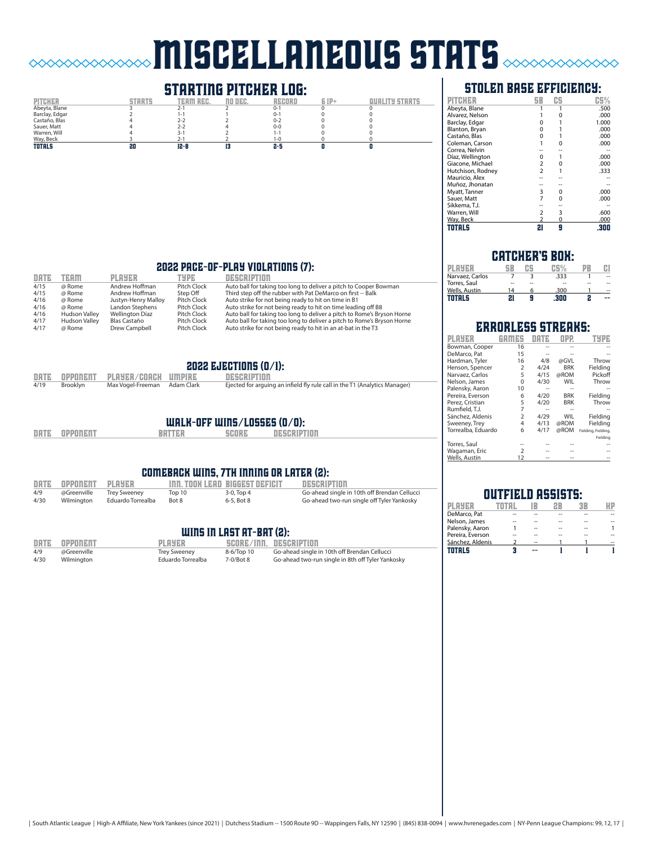# miscellaneous stats

# **STARTING PITCHER LOG:**<br>TEAM REC. NO DEC. RECORD



### stolen base efficiency:

| PITCHER           | 5B             | CS.      | C5%   |
|-------------------|----------------|----------|-------|
| Abeyta, Blane     |                |          | .500  |
| Alvarez, Nelson   |                |          | .000  |
| Barclay, Edgar    | $\Omega$       |          | 1.000 |
| Blanton, Bryan    | 0              |          | .000  |
| Castaño, Blas     | 0              |          | .000  |
| Coleman, Carson   |                | O        | .000  |
| Correa, Nelvin    |                |          |       |
| Díaz, Wellington  | 0              |          | .000  |
| Giacone, Michael  | $\overline{2}$ | O        | .000  |
| Hutchison, Rodney | $\overline{2}$ |          | .333  |
| Mauricio, Alex    |                |          |       |
| Muñoz, Jhonatan   |                |          |       |
| Myatt, Tanner     | 3              | 0        | .000  |
| Sauer, Matt       | 7              | $\Omega$ | .000  |
| Sikkema, T.J.     |                |          |       |
| Warren, Will      | $\overline{2}$ | 3        | .600  |
| Way, Beck         |                | 0        | .000  |
| TOTALS            | 21             | g        | .300  |

### 2022 pace-of-play violations (7):

| DATE | <b>TEAM</b>          | <b>PLAYER</b>       | TYPE        | DESCRIPTION                                                             |
|------|----------------------|---------------------|-------------|-------------------------------------------------------------------------|
| 4/15 | @ Rome               | Andrew Hoffman      | Pitch Clock | Auto ball for taking too long to deliver a pitch to Cooper Bowman       |
| 4/15 | @ Rome               | Andrew Hoffman      | Step Off    | Third step off the rubber with Pat DeMarco on first -- Balk             |
| 4/16 | @ Rome               | Justyn-Henry Malloy | Pitch Clock | Auto strike for not being ready to hit on time in B1                    |
| 4/16 | @ Rome               | Landon Stephens     | Pitch Clock | Auto strike for not being ready to hit on time leading off B8           |
| 4/16 | <b>Hudson Valley</b> | Wellington Díaz     | Pitch Clock | Auto ball for taking too long to deliver a pitch to Rome's Bryson Horne |
| 4/17 | <b>Hudson Valley</b> | Blas Castaño        | Pitch Clock | Auto ball for taking too long to deliver a pitch to Rome's Bryson Horne |
| 4/17 | @ Rome               | Drew Campbell       | Pitch Clock | Auto strike for not being ready to hit in an at-bat in the T3           |

### 2022 EJECTIONS  $(0/1)$ :

|      |          | DATE OPPONENT PLAYER/COACH UMPIRE | DESCRIPTION                                                                |
|------|----------|-----------------------------------|----------------------------------------------------------------------------|
| 4/19 | Brooklyn | Max Vogel-Freeman Adam Clark      | Ejected for arguing an infield fly rule call in the T1 (Analytics Manager) |

## walk-off wins/losses (0/0):

| DATE | <b>OPPONENT</b> |
|------|-----------------|
|      |                 |

 $\Diamond \Diamond \Diamond \Diamond \Diamond$ 

**DESCRIPTION** 

### comeback wins, 7th inning or later (2):

|      | DATE OPPONENT PLAYER |                   |        | <b>THA. TOOK LEAD BIGGEST DEFICIT</b> | DESCRIPTION                                  |
|------|----------------------|-------------------|--------|---------------------------------------|----------------------------------------------|
| 4/9  | @Greenville          | Trey Sweeney      | Top 10 | 3-0. Top 4                            | Go-ahead single in 10th off Brendan Cellucci |
| 4/30 | Wilmington           | Eduardo Torrealba | Bot 8  | 6-5. Bot 8                            | Go-ahead two-run single off Tyler Yankosky   |

### WINS IN LAST AT-BAT (2):

| DATE | OPPONENT    | <b>PLAYER</b>       |            | SCORE/INN. DESCRIPTION                            |
|------|-------------|---------------------|------------|---------------------------------------------------|
| 4/9  | @Greenville | <b>Trey Sweeney</b> | 8-6/Top 10 | Go-ahead single in 10th off Brendan Cellucci      |
| 4/30 | Wilmington  | Eduardo Torrealba   | 7-0/Bot 8  | Go-ahead two-run single in 8th off Tyler Yankosky |

### catcher's box:

| DI DUER         |    |    | 空居り。 |    |    |
|-----------------|----|----|------|----|----|
| Narvaez. Carlos |    |    | .333 |    | -- |
| Torres, Saul    |    | -- | --   | -- | -- |
| Wells, Austin   | 14 | 6  | .300 |    | -- |
| TOTALS          | 21 | Я  | 300  | 2  | -9 |

### errorless streaks:

| PLAYER             |                         |      |            |                     |
|--------------------|-------------------------|------|------------|---------------------|
| Bowman, Cooper     | 16                      |      |            |                     |
| DeMarco, Pat       | 15                      |      |            |                     |
| Hardman, Tyler     | 16                      | 4/8  | @GVL       | Throw               |
| Henson, Spencer    | 2                       | 4/24 | <b>BRK</b> | Fielding            |
| Narvaez, Carlos    | 5                       | 4/15 | @ROM       | Pickoff             |
| Nelson, James      | $\Omega$                | 4/30 | <b>WIL</b> | Throw               |
| Palensky, Aaron    | 10                      |      |            |                     |
| Pereira, Everson   | 6                       | 4/20 | <b>BRK</b> | Fielding            |
| Perez. Cristian    | 5                       | 4/20 | <b>BRK</b> | Throw               |
| Rumfield, T.J.     | 7                       | --   |            |                     |
| Sánchez, Aldenis   | $\overline{\mathbf{z}}$ | 4/29 | WIL        | Fielding            |
| Sweeney, Trey      | 4                       | 4/13 | @ROM       | Fielding            |
| Torrealba, Eduardo | 6                       | 4/17 | @ROM       | Fielding, Fielding, |
|                    |                         |      |            | Fielding            |
| Torres, Saul       |                         |      |            |                     |
| Wagaman, Eric      | $\mathcal{P}$           |      |            |                     |
| Wells, Austin      | 12                      |      |            |                     |

### outfield assists:

| DI DYER          |    |  |  |
|------------------|----|--|--|
| DeMarco, Pat     |    |  |  |
| Nelson, James    |    |  |  |
| Palensky, Aaron  | -- |  |  |
| Pereira, Everson |    |  |  |
| Sánchez, Aldenis |    |  |  |
| TOTA             |    |  |  |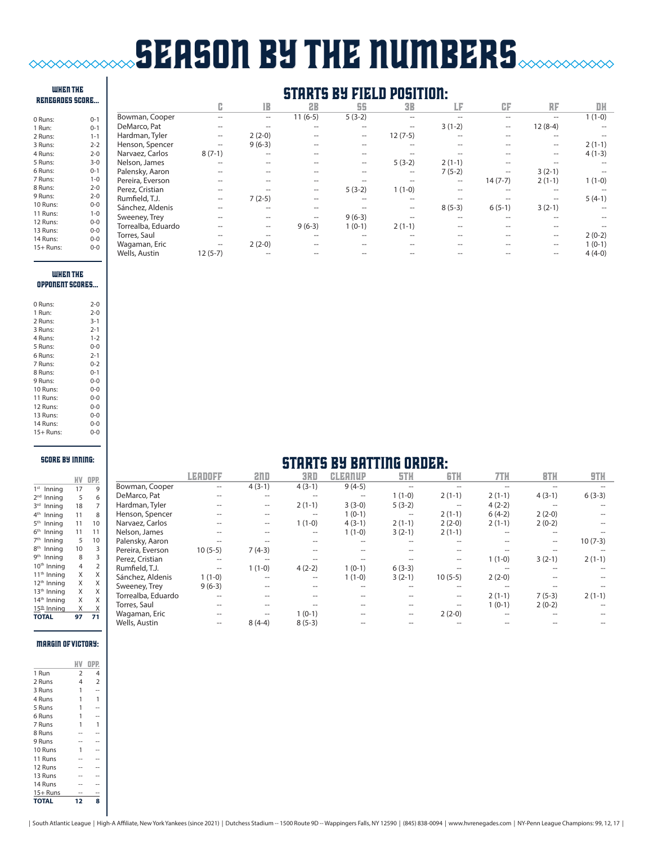# **SEASON BY THE NUMBERS**  $\mathbf{I}$

| <b>WHEN THE</b><br><b>RENEGADES SCORE</b> |         | <b>STARTS BY FIELD POSITION:</b> |                   |                          |                     |                     |                   |                   |           |                   |          |
|-------------------------------------------|---------|----------------------------------|-------------------|--------------------------|---------------------|---------------------|-------------------|-------------------|-----------|-------------------|----------|
|                                           |         |                                  | G.                | IB                       | <b>2B</b>           | 55                  | <b>3B</b>         | LF                | CF        | RF                | DH       |
| 0 Runs:                                   | $0 - 1$ | Bowman, Cooper                   |                   | --                       | $11(6-5)$           | $5(3-2)$            |                   |                   | --        | --                | $1(1-0)$ |
| 1 Run:                                    | $0 - 1$ | DeMarco, Pat                     |                   |                          |                     | $-$                 |                   | $3(1-2)$          | --        | $12(8-4)$         | Ξ.       |
| 2 Runs:                                   | $1 - 1$ | Hardman, Tyler                   | $\hspace{0.05cm}$ | $2(2-0)$                 |                     | $\hspace{0.05cm}$   | $12(7-5)$         |                   |           |                   |          |
| 3 Runs:                                   | $2 - 2$ | Henson, Spencer                  |                   | $9(6-3)$                 |                     | $-$                 |                   |                   |           | $\hspace{0.05cm}$ | $2(1-1)$ |
| 4 Runs:                                   | $2 - 0$ | Narvaez, Carlos                  | $8(7-1)$          | --                       |                     |                     |                   |                   |           | $- -$             | $4(1-3)$ |
| 5 Runs:                                   | $3 - 0$ | Nelson, James                    |                   | --                       | --                  | $\hspace{0.05cm} -$ | $5(3-2)$          | $2(1-1)$          |           |                   | Ξ.       |
| 6 Runs:                                   | $0 - 1$ | Palensky, Aaron                  |                   | --                       | --                  | $-$                 | --                | $7(5-2)$          | --        | $3(2-1)$          | Ξ.       |
| 7 Runs:                                   | $1 - 0$ | Pereira, Everson                 |                   | --                       | --                  |                     |                   | $\hspace{0.05cm}$ | $14(7-7)$ | $2(1-1)$          | $1(1-0)$ |
| 8 Runs:                                   | $2 - 0$ | Perez, Cristian                  | $- -$             | --                       | $\hspace{0.05cm} -$ | $5(3-2)$            | $1(1-0)$          | $- -$             | --        | $-$               | --       |
| 9 Runs:                                   | $2 - 0$ | Rumfield, T.J.                   | $\hspace{0.05cm}$ | $7(2-5)$                 | --                  | $-$                 |                   |                   |           | $- -$             | $5(4-1)$ |
| 10 Runs:                                  | $0 - 0$ | Sánchez, Aldenis                 |                   | --                       | --                  |                     | $\hspace{0.05cm}$ | $8(5-3)$          | $6(5-1)$  | $3(2-1)$          | --       |
| 11 Runs:                                  | $1 - 0$ | Sweeney, Trey                    |                   | --                       | $\overline{a}$      | $9(6-3)$            |                   |                   |           |                   | --       |
| 12 Runs:                                  | $0-0$   | Torrealba, Eduardo               |                   | $\overline{\phantom{a}}$ | $9(6-3)$            | $1(0-1)$            | $2(1-1)$          |                   | --        | $-$               |          |
| 13 Runs:                                  | $0 - 0$ | Torres, Saul                     |                   |                          | --                  |                     |                   |                   | --        | $\hspace{0.05cm}$ | $2(0-2)$ |
| 14 Runs:                                  | $0 - 0$ | Wagaman, Eric                    | $- -$             | $2(2-0)$                 | --                  | $-$                 |                   |                   |           | $\hspace{0.05cm}$ | $1(0-1)$ |
| $15+$ Runs:                               | $0-0$   | Wells, Austin                    | $12(5-7)$         |                          |                     |                     |                   |                   |           | --                | $4(4-0)$ |

### when THE oppONENT scores...

| 0 Runs:     | $2 - 0$ |
|-------------|---------|
| 1 Run:      | $2 - 0$ |
| 2 Runs:     | $3 - 1$ |
| 3 Runs:     | $2 - 1$ |
| 4 Runs:     | $1 - 2$ |
| 5 Runs:     | $0 - 0$ |
| 6 Runs:     | $2 - 1$ |
| 7 Runs:     | $0 - 2$ |
| 8 Runs:     | $0 - 1$ |
| 9 Runs:     | $0 - 0$ |
| 10 Runs:    | $0 - 0$ |
| 11 Runs:    | $0 - 0$ |
| 12 Runs:    | $0 - 0$ |
| 13 Runs:    | $0 - 0$ |
| 14 Runs:    | $0 - 0$ |
| $15+$ Runs: | $0 - 0$ |

### score by inning:

|                            | ИV | OPP.           |
|----------------------------|----|----------------|
| 1 <sup>st</sup><br>Inning  | 17 | 9              |
| 2 <sub>nd</sub><br>Inning  | 5  | 6              |
| 2rd<br>Inning              | 18 | $\overline{7}$ |
| 4 <sup>th</sup><br>Inning  | 11 | 8              |
| 5 <sup>th</sup><br>Inning  | 11 | 10             |
| 6 <sup>th</sup><br>Inning  | 11 | 11             |
| 7 <sup>th</sup><br>Inning  | 5  | 10             |
| 8 <sup>th</sup><br>Inning  | 10 | 3              |
| <b>gth</b><br>Inning       | 8  | 3              |
| 10 <sup>th</sup><br>Inning | 4  | $\overline{2}$ |
| 11 <sup>th</sup> Inning    | X  | X              |
| 12 <sup>th</sup> Inning    | X  | X              |
| 13 <sup>th</sup> Inning    | X  | X              |
| 14 <sup>th</sup><br>Inning | X  | X              |
| 15 <sup>th</sup> Inning    | Χ  | Χ              |
| <b>TOTAL</b>               | 97 | 71             |

# **STARTS BY BATTING ORDER:**

|                    | LEADOFF                  | and      | 3RD      | <b>CLEANUP</b>    | 5TH                                                 | <b>GTH</b>        | 7TH      | <b>BTH</b> | 9TH       |
|--------------------|--------------------------|----------|----------|-------------------|-----------------------------------------------------|-------------------|----------|------------|-----------|
| Bowman, Cooper     | $\overline{\phantom{m}}$ | $4(3-1)$ | $4(3-1)$ | $9(4-5)$          | $-$                                                 |                   |          |            |           |
| DeMarco, Pat       |                          | --       |          | $\qquad \qquad -$ | $1(1-0)$                                            | $2(1-1)$          | $2(1-1)$ | $4(3-1)$   | $6(3-3)$  |
| Hardman, Tyler     |                          | --       | $2(1-1)$ | $3(3-0)$          | $5(3-2)$                                            | $\hspace{0.05cm}$ | $4(2-2)$ |            |           |
| Henson, Spencer    |                          | --       | --       | $1(0-1)$          | $\hspace{0.05cm} -\hspace{0.05cm} -\hspace{0.05cm}$ | $2(1-1)$          | $6(4-2)$ | $2(2-0)$   |           |
| Narvaez, Carlos    |                          | --       | $1(1-0)$ | $4(3-1)$          | $2(1-1)$                                            | $2(2-0)$          | $2(1-1)$ | $2(0-2)$   |           |
| Nelson, James      |                          |          | $- -$    | $1(1-0)$          | $3(2-1)$                                            | $2(1-1)$          | $- -$    | $- -$      |           |
| Palensky, Aaron    |                          |          |          |                   |                                                     |                   |          |            | $10(7-3)$ |
| Pereira, Everson   | $10(5-5)$                | $7(4-3)$ |          |                   |                                                     |                   |          |            |           |
| Perez, Cristian    | $-$                      | $-$      |          |                   |                                                     | --                | $1(1-0)$ | $3(2-1)$   | $2(1-1)$  |
| Rumfield, T.J.     |                          | $1(1-0)$ | $4(2-2)$ | $1(0-1)$          | $6(3-3)$                                            |                   |          |            |           |
| Sánchez, Aldenis   | $1(1-0)$                 | --       | $- -$    | $1(1-0)$          | $3(2-1)$                                            | $10(5-5)$         | $2(2-0)$ |            |           |
| Sweeney, Trey      | $9(6-3)$                 |          |          | $- -$             | $-$                                                 | $- -$             | $-$      |            |           |
| Torrealba, Eduardo |                          |          |          |                   |                                                     | $- -$             | $2(1-1)$ | $7(5-3)$   | $2(1-1)$  |
| Torres, Saul       |                          |          |          |                   |                                                     | --                | $1(0-1)$ | $2(0-2)$   |           |
| Wagaman, Eric      |                          |          | $1(0-1)$ |                   | $- -$                                               | $2(2-0)$          | $- -$    |            |           |
| Wells, Austin      |                          | $8(4-4)$ | $8(5-3)$ |                   |                                                     |                   |          |            |           |
|                    |                          |          |          |                   |                                                     |                   |          |            |           |

### margin of victory:

| 1 Run      | $\overline{2}$ | 4 |
|------------|----------------|---|
| 2 Runs     | 4              | 2 |
| 3 Runs     | 1              |   |
| 4 Runs     | 1              | 1 |
| 5 Runs     | 1              |   |
| 6 Runs     | 1              |   |
| 7 Runs     | 1              | 1 |
| 8 Runs     |                |   |
| 9 Runs     |                |   |
| 10 Runs    | 1              |   |
| 11 Runs    |                |   |
| 12 Runs    |                |   |
| 13 Runs    |                |   |
| 14 Runs    |                |   |
| $15+$ Runs |                |   |
| TOTAL      | 12             | 8 |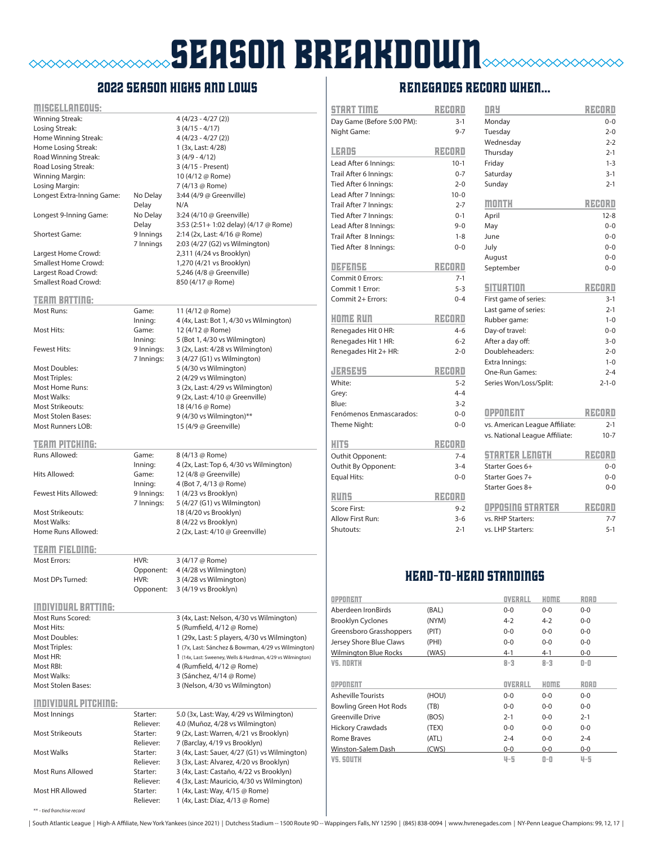## **SEASON BREAKDOWN**  $\begin{picture}(180,10) \put(0,0){\line(1,0){10}} \put(0,0){\line(1,0){10}} \put(0,0){\line(1,0){10}} \put(0,0){\line(1,0){10}} \put(0,0){\line(1,0){10}} \put(0,0){\line(1,0){10}} \put(0,0){\line(1,0){10}} \put(0,0){\line(1,0){10}} \put(0,0){\line(1,0){10}} \put(0,0){\line(1,0){10}} \put(0,0){\line(1,0){10}} \put(0,0){\line(1,0){10}} \put(0$

### 2022 season highs and lows

| <u> MISCELLANZOLS:</u>      |                       |                                                                                    |
|-----------------------------|-----------------------|------------------------------------------------------------------------------------|
| Winning Streak:             |                       | $4(4/23 - 4/27(2))$                                                                |
| Losing Streak:              |                       | $3(4/15 - 4/17)$                                                                   |
| Home Winning Streak:        |                       | $4(4/23 - 4/27(2))$                                                                |
| Home Losing Streak:         |                       | 1 (3x, Last: 4/28)                                                                 |
| Road Winning Streak:        |                       | $3(4/9 - 4/12)$                                                                    |
| Road Losing Streak:         |                       | 3 (4/15 - Present)                                                                 |
| Winning Margin:             |                       | 10 (4/12 @ Rome)                                                                   |
| Losing Margin:              |                       | 7 (4/13 @ Rome)                                                                    |
| Longest Extra-Inning Game:  | No Delay              | 3:44 (4/9 @ Greenville)                                                            |
|                             | Delay                 | N/A                                                                                |
| Longest 9-Inning Game:      | No Delay              | 3:24 (4/10 @ Greenville)                                                           |
|                             | Delay                 | 3:53 (2:51+ 1:02 delay) (4/17 @ Rome)                                              |
| <b>Shortest Game:</b>       | 9 Innings             | 2:14 (2x, Last: 4/16 @ Rome)                                                       |
|                             | 7 Innings             | 2:03 (4/27 (G2) vs Wilmington)                                                     |
| Largest Home Crowd:         |                       | 2,311 (4/24 vs Brooklyn)                                                           |
| Smallest Home Crowd:        |                       | 1,270 (4/21 vs Brooklyn)                                                           |
| Largest Road Crowd:         |                       | 5,246 (4/8 @ Greenville)                                                           |
| <b>Smallest Road Crowd:</b> |                       | 850 (4/17 @ Rome)                                                                  |
|                             |                       |                                                                                    |
| <b>TEAM BATTING:</b>        |                       |                                                                                    |
| Most Runs:                  | Game:                 | 11 (4/12 @ Rome)                                                                   |
|                             | Inning:               | 4 (4x, Last: Bot 1, 4/30 vs Wilmington)                                            |
| Most Hits:                  | Game:                 | 12 (4/12 @ Rome)                                                                   |
|                             | Innina:               | 5 (Bot 1, 4/30 vs Wilmington)                                                      |
| <b>Fewest Hits:</b>         | 9 Innings:            | 3 (2x, Last: 4/28 vs Wilmington)                                                   |
|                             | 7 Innings:            | 3 (4/27 (G1) vs Wilmington)                                                        |
| <b>Most Doubles:</b>        |                       | 5 (4/30 vs Wilmington)                                                             |
| <b>Most Triples:</b>        |                       | 2 (4/29 vs Wilmington)                                                             |
| <b>Most Home Runs:</b>      |                       | 3 (2x, Last: 4/29 vs Wilmington)                                                   |
| Most Walks:                 |                       | 9 (2x, Last: 4/10 @ Greenville)                                                    |
| <b>Most Strikeouts:</b>     |                       | 18 (4/16 @ Rome)                                                                   |
| <b>Most Stolen Bases:</b>   |                       | 9 (4/30 vs Wilmington)**                                                           |
| <b>Most Runners LOB:</b>    |                       | 15 (4/9 @ Greenville)                                                              |
|                             |                       |                                                                                    |
| TEAM PITCHING:              |                       |                                                                                    |
| Runs Allowed:               | Game:                 | 8 (4/13 @ Rome)                                                                    |
|                             | Inning:               | 4 (2x, Last: Top 6, 4/30 vs Wilmington)                                            |
| Hits Allowed:               | Game:                 | 12 (4/8 @ Greenville)                                                              |
|                             |                       |                                                                                    |
|                             | Inning:               | 4 (Bot 7, 4/13 @ Rome)                                                             |
| Fewest Hits Allowed:        | 9 Innings:            | 1 (4/23 vs Brooklyn)                                                               |
|                             | 7 Innings:            | 5 (4/27 (G1) vs Wilmington)                                                        |
| <b>Most Strikeouts:</b>     |                       | 18 (4/20 vs Brooklyn)                                                              |
| <b>Most Walks:</b>          |                       | 8 (4/22 vs Brooklyn)                                                               |
| Home Runs Allowed:          |                       | 2 (2x, Last: 4/10 @ Greenville)                                                    |
|                             |                       |                                                                                    |
| <b>TERM FIELDING:</b>       |                       |                                                                                    |
| <b>Most Errors:</b>         | HVR:                  | 3 (4/17 @ Rome)                                                                    |
|                             | Opponent:             | 4 (4/28 vs Wilmington)                                                             |
| Most DPs Turned:            | HVR:                  | 3 (4/28 vs Wilmington)                                                             |
|                             | Opponent:             | 3 (4/19 vs Brooklyn)                                                               |
|                             |                       |                                                                                    |
| <b>INDIVIDUAL BATTING:</b>  |                       |                                                                                    |
| Most Runs Scored:           |                       | 3 (4x, Last: Nelson, 4/30 vs Wilmington)                                           |
| Most Hits:                  |                       | 5 (Rumfield, 4/12 @ Rome)                                                          |
| <b>Most Doubles:</b>        |                       | 1 (29x, Last: 5 players, 4/30 vs Wilmington)                                       |
| Most Triples:               |                       | 1 (7x, Last: Sánchez & Bowman, 4/29 vs Wilmington)                                 |
| Most HR:                    |                       | 1 (14x, Last: Sweeney, Wells & Hardman, 4/29 vs Wilmington)                        |
| Most RBI:                   |                       | 4 (Rumfield, 4/12 @ Rome)                                                          |
| Most Walks:                 |                       | 3 (Sánchez, 4/14 @ Rome)                                                           |
| <b>Most Stolen Bases:</b>   |                       | 3 (Nelson, 4/30 vs Wilmington)                                                     |
|                             |                       |                                                                                    |
| <b>INDIVIDUAL PITCHING:</b> | Starter:              |                                                                                    |
| Most Innings                |                       | 5.0 (3x, Last: Way, 4/29 vs Wilmington)                                            |
| <b>Most Strikeouts</b>      | Reliever:<br>Starter: | 4.0 (Muñoz, 4/28 vs Wilmington)                                                    |
|                             | Reliever:             | 9 (2x, Last: Warren, 4/21 vs Brooklyn)                                             |
| <b>Most Walks</b>           | Starter:              | 7 (Barclay, 4/19 vs Brooklyn)                                                      |
|                             | Reliever:             | 3 (4x, Last: Sauer, 4/27 (G1) vs Wilmington)                                       |
| Most Runs Allowed           | Starter:              | 3 (3x, Last: Alvarez, 4/20 vs Brooklyn)<br>3 (4x, Last: Castaño, 4/22 vs Brooklyn) |
|                             | Reliever:             | 4 (3x, Last: Mauricio, 4/30 vs Wilmington)                                         |
| Most HR Allowed             | Starter:              | 1 (4x, Last: Way, 4/15 @ Rome)                                                     |

### RENEGADES record when...

| START TIME                 | REDRI    | <b>DAY</b>                         | RECORD             |
|----------------------------|----------|------------------------------------|--------------------|
| Day Game (Before 5:00 PM): | $3-1$    | Monday                             | $0 - 0$            |
| Night Game:                | $9 - 7$  | Tuesday                            | $2 - 0$            |
|                            |          | Wednesday                          | $2 - 2$            |
| LERD5                      | REDRI    | Thursday                           | $2 - 1$            |
| Lead After 6 Innings:      | $10-1$   | Friday                             | $1 - 3$            |
| Trail After 6 Innings:     | $0 - 7$  | Saturday                           | $3 - 1$            |
| Tied After 6 Innings:      | $2 - 0$  | Sunday                             | $2 - 1$            |
| Lead After 7 Innings:      | $10 - 0$ |                                    |                    |
| Trail After 7 Innings:     | $2 - 7$  | month                              | RZEORO             |
| Tied After 7 Innings:      | $0 - 1$  | April                              | $12 - 8$           |
| Lead After 8 Innings:      | $9 - 0$  | May                                | $0 - 0$            |
| Trail After 8 Innings:     | $1 - 8$  | June                               | $0 - 0$            |
| Tied After 8 Innings:      | $0 - 0$  | July                               | $0 - 0$            |
|                            |          | August                             | $0 - 0$            |
| <b>DEFENSE</b>             | RZEORO   | September                          | $0 - 0$            |
| Commit 0 Errors:           | $7-1$    |                                    |                    |
| Commit 1 Error:            | $5 - 3$  | SITUATION                          | RZEORO             |
| Commit 2+ Errors:          | $0 - 4$  | First game of series:              | $3 - 1$            |
|                            |          | Last game of series:               | $2 - 1$            |
| KOME RUN                   | RZEORO   | Rubber game:                       | $1 - 0$            |
| Renegades Hit 0 HR:        | $4 - 6$  | Day-of travel:                     | $0 - 0$            |
| Renegades Hit 1 HR:        | $6 - 2$  | After a day off:                   | $3 - 0$            |
| Renegades Hit 2+ HR:       | $2 - 0$  | Doubleheaders:                     | $2 - 0$            |
|                            |          | Extra Innings:                     | $1 - 0$            |
| JERSEYS                    | RECORD   | One-Run Games:                     | $2 - 4$            |
| White:                     | $5 - 2$  | Series Won/Loss/Split:             | $2 - 1 - 0$        |
| Grey:                      | $4 - 4$  |                                    |                    |
| Blue:                      | $3 - 2$  |                                    |                    |
| Fenómenos Enmascarados:    | $0 - 0$  | OPPONENT                           | RZEORO             |
| Theme Night:               | $0 - 0$  | vs. American League Affiliate:     | $2 - 1$            |
| <b>HITS</b>                | RZADRO   | vs. National League Affiliate:     | $10 - 7$           |
|                            | $7 - 4$  | STARTER LENETH                     | RZEORO             |
| Outhit Opponent:           |          |                                    |                    |
| Outhit By Opponent:        | $3 - 4$  | Starter Goes 6+<br>Starter Goes 7+ | $0 - 0$            |
| <b>Equal Hits:</b>         | $0 - 0$  | Starter Goes 8+                    | $0 - 0$<br>$0 - 0$ |
| <b>Runs</b>                | RECORD   |                                    |                    |
| Score First:               | $9 - 2$  | OPPOSING STARTER                   | RZANRI             |
| Allow First Run:           | $3 - 6$  | vs. RHP Starters:                  | $7 - 7$            |
| Shutouts:                  | $2 - 1$  | vs. LHP Starters:                  | $5 - 1$            |
|                            |          | <b>HEAD-TO-HEAD STANDINGS</b>      |                    |
| <b>OPPONENT</b>            |          | <b>OVERALL</b><br>HOME             | <b>ROAD</b>        |
|                            |          |                                    |                    |

| <b>OPPONENT</b>               |       | OVERALL | HOME    | ROAD        |
|-------------------------------|-------|---------|---------|-------------|
| Aberdeen IronBirds            | (BAL) | $0 - 0$ | $0 - 0$ | $0 - 0$     |
| <b>Brooklyn Cyclones</b>      | (NYM) | $4 - 2$ | $4 - 2$ | $0 - 0$     |
| Greensboro Grasshoppers       | (PIT) | $0 - 0$ | $0 - 0$ | $0 - 0$     |
| Jersey Shore Blue Claws       | (PHI) | $0 - 0$ | $0 - 0$ | $0 - 0$     |
| <b>Wilmington Blue Rocks</b>  | (WAS) | $4 - 1$ | $4 - 1$ | $0-0$       |
| VS. NORTH                     |       | $8 - 3$ | $8 - 3$ | 0-0         |
|                               |       |         |         |             |
| <b>OPPONENT</b>               |       | OVERALL | HOME    | <b>ROAD</b> |
| <b>Asheville Tourists</b>     | (HOU) | $0 - 0$ | $0 - 0$ | $0 - 0$     |
| <b>Bowling Green Hot Rods</b> | (TB)  | $0 - 0$ | $0 - 0$ | $0 - 0$     |
| <b>Greenville Drive</b>       | (BOS) | $2 - 1$ | $0 - 0$ | $2 - 1$     |
| <b>Hickory Crawdads</b>       | (TEX) | $0 - 0$ | $0 - 0$ | $0 - 0$     |
| Rome Braves                   | (ATL) | $2 - 4$ | $0 - 0$ | $2 - 4$     |
| Winston-Salem Dash            | (CWS) | $0 - 0$ | $0-0$   | $0-0$       |

\*\* - *tied franchise record*

| South Atlantic League | High-A Affiliate, New York Yankees (since 2021) | Dutchess Stadium -- 1500 Route 9D -- Wappingers Falls, NY 12590 | (845) 838-0094 | www.hvrenegades.com | NY-Penn League Champions: 99, 12, 17 |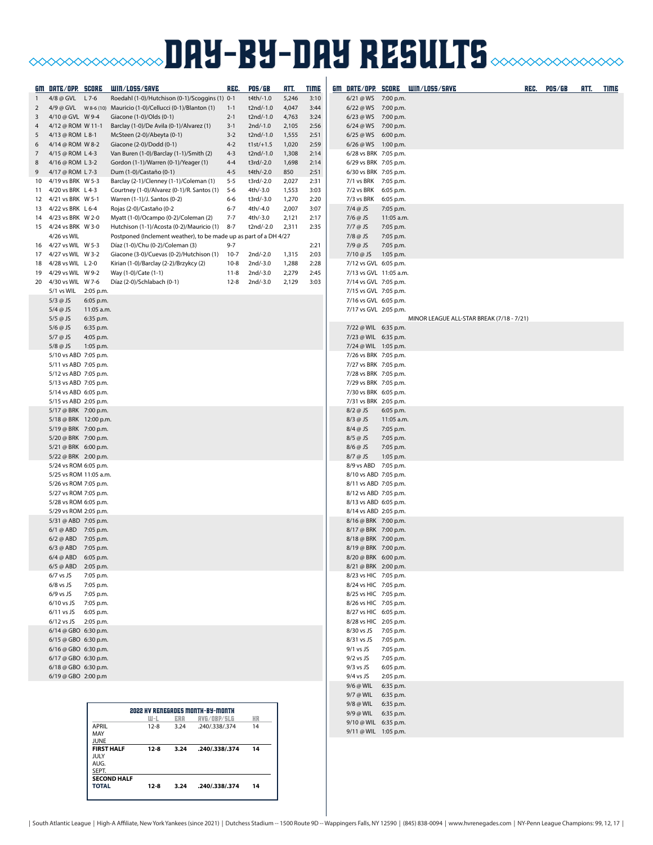# **BAY-BY-DAY RESULTS CONDITIONS IN THE SULTS**

|                     | <u>GM DATE/OPP. SCORE</u>                      |                                  | WIN/LOSS/SAVE                                                                                                  | REG.               | <b>POS/GB</b>            | <u>HTT.</u>    | <b>TIME</b>  |                                                |                        | GM DATE/OPP. SCORE WIN/LOSS/SAVE          | REC. | <b>POS/GB</b> | ATT. | <b>TIME</b> |
|---------------------|------------------------------------------------|----------------------------------|----------------------------------------------------------------------------------------------------------------|--------------------|--------------------------|----------------|--------------|------------------------------------------------|------------------------|-------------------------------------------|------|---------------|------|-------------|
| 1                   | 4/8 @ GVL L 7-6                                |                                  | Roedahl (1-0)/Hutchison (0-1)/Scoggins (1) 0-1                                                                 |                    | t4th/-1.0                | 5,246          | 3:10         | $6/21 @WS$ 7:00 p.m.                           |                        |                                           |      |               |      |             |
| 2                   |                                                |                                  |                                                                                                                | $1 - 1$            | t2nd/-1.0                | 4,047          | 3:44         | 6/22 @ WS 7:00 p.m.                            |                        |                                           |      |               |      |             |
| 3                   | 4/10 @ GVL W 9-4                               |                                  | Giacone (1-0)/Olds (0-1)                                                                                       | $2 - 1$            | t2nd/-1.0                | 4,763          | 3:24         | 6/23 @ WS 7:00 p.m.                            |                        |                                           |      |               |      |             |
| 4                   | 4/12 @ ROM W 11-1                              |                                  | Barclay (1-0)/De Avila (0-1)/Alvarez (1)                                                                       | $3-1$              | $2nd/-1.0$               | 2,105          | 2:56         | $6/24 @WS$ 7:00 p.m.                           |                        |                                           |      |               |      |             |
| 5                   | 4/13 @ ROM L 8-1<br>4/14 @ ROM W 8-2           |                                  | McSteen (2-0)/Abeyta (0-1)                                                                                     | $3 - 2$<br>$4 - 2$ | t2nd/-1.0<br>$t1st/+1.5$ | 1,555<br>1,020 | 2:51<br>2:59 | 6/25 @WS 6:00 p.m.<br>6/26 @ WS 1:00 p.m.      |                        |                                           |      |               |      |             |
| 6<br>$\overline{7}$ | 4/15 @ ROM L 4-3                               |                                  | Giacone (2-0)/Dodd (0-1)<br>Van Buren (1-0)/Barclay (1-1)/Smith (2)                                            | $4 - 3$            | t2nd/-1.0                | 1,308          | 2:14         | 6/28 vs BRK 7:05 p.m.                          |                        |                                           |      |               |      |             |
| 8                   | 4/16 @ ROM L 3-2                               |                                  | Gordon (1-1)/Warren (0-1)/Yeager (1)                                                                           | $4 - 4$            | t3rd/-2.0                | 1,698          | 2:14         | 6/29 vs BRK 7:05 p.m.                          |                        |                                           |      |               |      |             |
| 9                   | 4/17 @ ROM L 7-3                               |                                  | Dum (1-0)/Castaño (0-1)                                                                                        | $4 - 5$            | t4th/-2.0                | 850            | 2:51         | 6/30 vs BRK 7:05 p.m.                          |                        |                                           |      |               |      |             |
| 10                  | 4/19 vs BRK W 5-3                              |                                  | Barclay (2-1)/Clenney (1-1)/Coleman (1)                                                                        | $5 - 5$            | t3rd/-2.0                | 2,027          | 2:31         | 7/1 vs BRK 7:05 p.m.                           |                        |                                           |      |               |      |             |
|                     | 11 4/20 vs BRK L 4-3                           |                                  | Courtney (1-0)/Alvarez (0-1)/R. Santos (1)                                                                     | $5 - 6$            | 4th/-3.0                 | 1,553          | 3:03         | 7/2 vs BRK 6:05 p.m.                           |                        |                                           |      |               |      |             |
| 12                  | 4/21 vs BRK W 5-1                              |                                  | Warren (1-1)/J. Santos (0-2)                                                                                   | 6-6                | t3rd/-3.0                | 1,270          | 2:20         | 7/3 vs BRK                                     | 6:05 p.m.              |                                           |      |               |      |             |
|                     | 13 4/22 vs BRK L 6-4                           |                                  | Rojas (2-0)/Castaño (0-2                                                                                       | $6 - 7$            | 4th/-4.0                 | 2,007          | 3:07         | $7/4$ @ JS                                     | 7:05 p.m.              |                                           |      |               |      |             |
|                     | 14 4/23 vs BRK W 2-0                           |                                  | Myatt (1-0)/Ocampo (0-2)/Coleman (2)                                                                           | $7 - 7$            | 4th/-3.0                 | 2,121          | 2:17         | 7/6 @ JS                                       | 11:05 a.m.             |                                           |      |               |      |             |
|                     | 15 4/24 vs BRK W 3-0<br>4/26 vs WIL            |                                  | Hutchison (1-1)/Acosta (0-2)/Mauricio (1)<br>Postponed (Inclement weather), to be made up as part of a DH 4/27 | $8 - 7$            | t2nd/-2.0                | 2,311          | 2:35         | $7/7$ @ JS<br>$7/8$ @ JS                       | 7:05 p.m.<br>7:05 p.m. |                                           |      |               |      |             |
|                     | 16 4/27 vs WIL W 5-3                           |                                  | Díaz (1-0)/Chu (0-2)/Coleman (3)                                                                               | $9 - 7$            |                          |                | 2:21         | $7/9$ @ JS                                     | 7:05 p.m.              |                                           |      |               |      |             |
|                     | 17 4/27 vs WIL W 3-2                           |                                  | Giacone (3-0)/Cuevas (0-2)/Hutchison (1)                                                                       | $10-7$             | 2nd/-2.0                 | 1,315          | 2:03         | 7/10 @ JS                                      | 1:05 p.m.              |                                           |      |               |      |             |
| 18                  | 4/28 vs WIL L 2-0                              |                                  | Kirian (1-0)/Barclay (2-2)/Brzykcy (2)                                                                         | $10-8$             | 2nd/-3.0                 | 1,288          | 2:28         | 7/12 vs GVL 6:05 p.m.                          |                        |                                           |      |               |      |             |
| 19                  | 4/29 vs WIL W 9-2                              |                                  | Way (1-0)/Cate (1-1)                                                                                           | 11-8               | 2nd/-3.0                 | 2,279          | 2:45         | 7/13 vs GVL 11:05 a.m.                         |                        |                                           |      |               |      |             |
| 20                  | 4/30 vs WIL W 7-6                              |                                  | Díaz (2-0)/Schlabach (0-1)                                                                                     | $12 - 8$           | 2nd/-3.0                 | 2,129          | 3:03         | 7/14 vs GVL 7:05 p.m.                          |                        |                                           |      |               |      |             |
|                     | 5/1 vs WIL                                     | 2:05 p.m.                        |                                                                                                                |                    |                          |                |              | 7/15 vs GVL 7:05 p.m.                          |                        |                                           |      |               |      |             |
|                     | $5/3$ @ JS                                     | 6:05 p.m.<br>11:05 a.m.          |                                                                                                                |                    |                          |                |              | 7/16 vs GVL 6:05 p.m.                          |                        |                                           |      |               |      |             |
|                     | $5/4$ @ JS<br>$5/5$ @ JS                       | 6:35 p.m.                        |                                                                                                                |                    |                          |                |              | 7/17 vs GVL 2:05 p.m.                          |                        | MINOR LEAGUE ALL-STAR BREAK (7/18 - 7/21) |      |               |      |             |
|                     | $5/6$ @ JS                                     | 6:35 p.m.                        |                                                                                                                |                    |                          |                |              | 7/22 @ WIL 6:35 p.m.                           |                        |                                           |      |               |      |             |
|                     | $5/7$ @ JS                                     | 4:05 p.m.                        |                                                                                                                |                    |                          |                |              | 7/23 @ WIL 6:35 p.m.                           |                        |                                           |      |               |      |             |
|                     | $5/8$ @ JS                                     | 1:05 p.m.                        |                                                                                                                |                    |                          |                |              | 7/24 @ WIL 1:05 p.m.                           |                        |                                           |      |               |      |             |
|                     | 5/10 vs ABD 7:05 p.m.                          |                                  |                                                                                                                |                    |                          |                |              | 7/26 vs BRK 7:05 p.m.                          |                        |                                           |      |               |      |             |
|                     | 5/11 vs ABD 7:05 p.m.                          |                                  |                                                                                                                |                    |                          |                |              | 7/27 vs BRK 7:05 p.m.                          |                        |                                           |      |               |      |             |
|                     | 5/12 vs ABD 7:05 p.m.                          |                                  |                                                                                                                |                    |                          |                |              | 7/28 vs BRK 7:05 p.m.                          |                        |                                           |      |               |      |             |
|                     | 5/13 vs ABD 7:05 p.m.<br>5/14 vs ABD 6:05 p.m. |                                  |                                                                                                                |                    |                          |                |              | 7/29 vs BRK 7:05 p.m.<br>7/30 vs BRK 6:05 p.m. |                        |                                           |      |               |      |             |
|                     | 5/15 vs ABD 2:05 p.m.                          |                                  |                                                                                                                |                    |                          |                |              | 7/31 vs BRK 2:05 p.m.                          |                        |                                           |      |               |      |             |
|                     | 5/17 @ BRK 7:00 p.m.                           |                                  |                                                                                                                |                    |                          |                |              | $8/2$ @ JS                                     | 6:05 p.m.              |                                           |      |               |      |             |
|                     | 5/18 @ BRK 12:00 p.m.                          |                                  |                                                                                                                |                    |                          |                |              | $8/3$ @ JS                                     | 11:05 a.m.             |                                           |      |               |      |             |
|                     | 5/19 @ BRK 7:00 p.m.                           |                                  |                                                                                                                |                    |                          |                |              | $8/4$ @ JS                                     | 7:05 p.m.              |                                           |      |               |      |             |
|                     | 5/20 @ BRK 7:00 p.m.                           |                                  |                                                                                                                |                    |                          |                |              | $8/5$ @ JS                                     | 7:05 p.m.              |                                           |      |               |      |             |
|                     | 5/21 @ BRK 6:00 p.m.                           |                                  |                                                                                                                |                    |                          |                |              | 8/6 @ JS<br>8/7 @ JS                           | 7:05 p.m.              |                                           |      |               |      |             |
|                     | 5/22 @ BRK 2:00 p.m.<br>5/24 vs ROM 6:05 p.m.  |                                  |                                                                                                                |                    |                          |                |              | 8/9 vs ABD 7:05 p.m.                           | 1:05 p.m.              |                                           |      |               |      |             |
|                     | 5/25 vs ROM 11:05 a.m.                         |                                  |                                                                                                                |                    |                          |                |              | 8/10 vs ABD 7:05 p.m.                          |                        |                                           |      |               |      |             |
|                     | 5/26 vs ROM 7:05 p.m.                          |                                  |                                                                                                                |                    |                          |                |              | 8/11 vs ABD 7:05 p.m.                          |                        |                                           |      |               |      |             |
|                     | 5/27 vs ROM 7:05 p.m.                          |                                  |                                                                                                                |                    |                          |                |              | 8/12 vs ABD 7:05 p.m.                          |                        |                                           |      |               |      |             |
|                     | 5/28 vs ROM 6:05 p.m.                          |                                  |                                                                                                                |                    |                          |                |              | 8/13 vs ABD 6:05 p.m.                          |                        |                                           |      |               |      |             |
|                     | 5/29 vs ROM 2:05 p.m.                          |                                  |                                                                                                                |                    |                          |                |              | 8/14 vs ABD 2:05 p.m.                          |                        |                                           |      |               |      |             |
|                     | 5/31 @ ABD 7:05 p.m.                           |                                  |                                                                                                                |                    |                          |                |              | 8/16 @ BRK 7:00 p.m.<br>8/17 @ BRK 7:00 p.m.   |                        |                                           |      |               |      |             |
|                     | 6/1 @ ABD 7:05 p.m.<br>6/2 @ ABD 7:05 p.m.     |                                  |                                                                                                                |                    |                          |                |              | 8/18 @ BRK 7:00 p.m.                           |                        |                                           |      |               |      |             |
|                     | 6/3 @ ABD 7:05 p.m.                            |                                  |                                                                                                                |                    |                          |                |              | 8/19 @ BRK 7:00 p.m.                           |                        |                                           |      |               |      |             |
|                     | 6/4 @ ABD 6:05 p.m.                            |                                  |                                                                                                                |                    |                          |                |              | 8/20 @ BRK 6:00 p.m                            |                        |                                           |      |               |      |             |
|                     | 6/5 @ ABD 2:05 p.m.                            |                                  |                                                                                                                |                    |                          |                |              | 8/21 @ BRK 2:00 p.m.                           |                        |                                           |      |               |      |             |
|                     | $6/7$ vs JS                                    | 7:05 p.m.                        |                                                                                                                |                    |                          |                |              | 8/23 vs HIC 7:05 p.m.                          |                        |                                           |      |               |      |             |
|                     | $6/8$ vs JS                                    | 7:05 p.m.                        |                                                                                                                |                    |                          |                |              | 8/24 vs HIC 7:05 p.m.                          |                        |                                           |      |               |      |             |
|                     | $6/9$ vs JS<br>6/10 vs JS 7:05 p.m.            | 7:05 p.m.                        |                                                                                                                |                    |                          |                |              | 8/25 vs HIC 7:05 p.m.<br>8/26 vs HIC 7:05 p.m. |                        |                                           |      |               |      |             |
|                     | 6/11 vs JS 6:05 p.m.                           |                                  |                                                                                                                |                    |                          |                |              | 8/27 vs HIC 6:05 p.m.                          |                        |                                           |      |               |      |             |
|                     | 6/12 vs JS 2:05 p.m.                           |                                  |                                                                                                                |                    |                          |                |              | 8/28 vs HIC 2:05 p.m.                          |                        |                                           |      |               |      |             |
|                     | 6/14 @ GBO 6:30 p.m.                           |                                  |                                                                                                                |                    |                          |                |              | 8/30 vs JS 7:05 p.m.                           |                        |                                           |      |               |      |             |
|                     | 6/15 @ GBO 6:30 p.m.                           |                                  |                                                                                                                |                    |                          |                |              | 8/31 vs JS 7:05 p.m.                           |                        |                                           |      |               |      |             |
|                     | 6/16 @ GBO 6:30 p.m.                           |                                  |                                                                                                                |                    |                          |                |              | $9/1$ vs JS                                    | 7:05 p.m.              |                                           |      |               |      |             |
|                     | 6/17 @ GBO 6:30 p.m.                           |                                  |                                                                                                                |                    |                          |                |              | $9/2$ vs JS                                    | 7:05 p.m.              |                                           |      |               |      |             |
|                     | 6/18 @ GBO 6:30 p.m.<br>6/19 @ GBO 2:00 p.m    |                                  |                                                                                                                |                    |                          |                |              | $9/3$ vs JS<br>9/4 vs JS                       | 6:05 p.m.<br>2:05 p.m. |                                           |      |               |      |             |
|                     |                                                |                                  |                                                                                                                |                    |                          |                |              | 9/6 @ WIL 6:35 p.m.                            |                        |                                           |      |               |      |             |
|                     |                                                |                                  |                                                                                                                |                    |                          |                |              | 9/7 @ WIL 6:35 p.m.                            |                        |                                           |      |               |      |             |
|                     |                                                |                                  |                                                                                                                |                    |                          |                |              | 9/8 @ WIL 6:35 p.m.                            |                        |                                           |      |               |      |             |
|                     |                                                |                                  | <b>2022 HV RENEGADES MONTH-BY-MONTH</b><br>ш-L<br>ERA<br>RVG/OBP/SLG                                           |                    | HR                       |                |              | 9/9 @ WIL 6:35 p.m.                            |                        |                                           |      |               |      |             |
|                     |                                                | APRIL                            | $12 - 8$<br>3.24<br>.240/.338/.374                                                                             |                    | 14                       |                |              | 9/10 @ WIL 6:35 p.m.                           |                        |                                           |      |               |      |             |
|                     |                                                | MAY                              |                                                                                                                |                    |                          |                |              | 9/11 @ WIL 1:05 p.m.                           |                        |                                           |      |               |      |             |
|                     |                                                | <b>JUNE</b><br><b>FIRST HALF</b> | $12-8$<br>3.24<br>.240/.338/.374                                                                               |                    | 14                       |                |              |                                                |                        |                                           |      |               |      |             |

JULY AUG. SEPT. **SECOND HALF**

**TOTAL 12-8 3.24 .240/.338/.374 14**